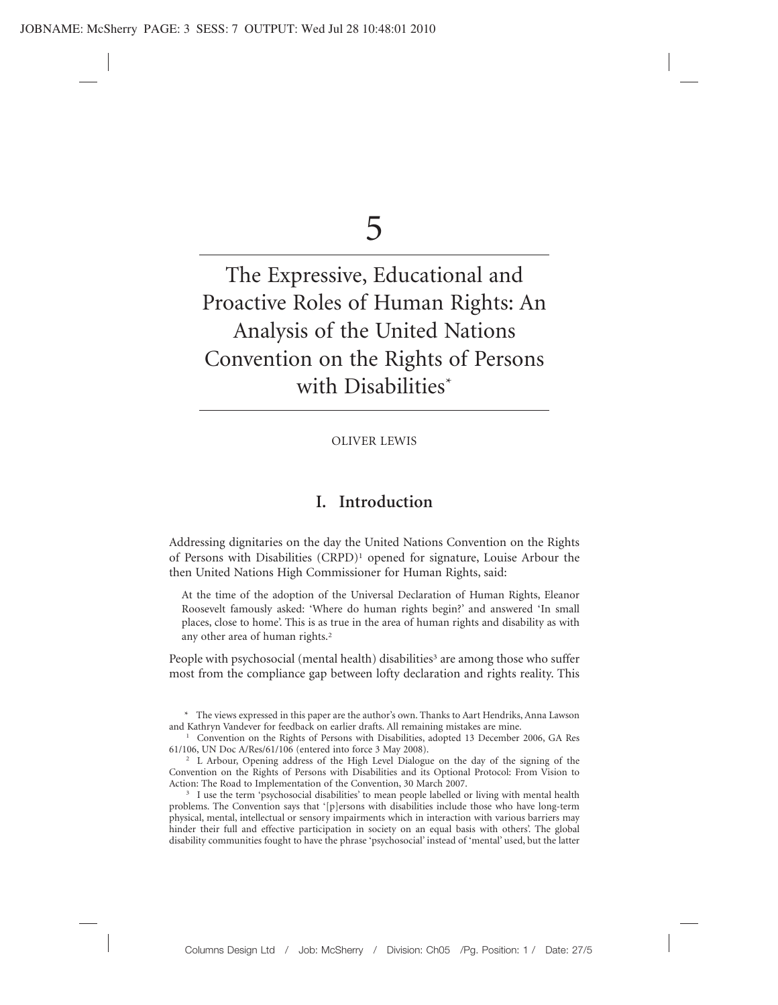# 5

The Expressive, Educational and Proactive Roles of Human Rights: An Analysis of the United Nations Convention on the Rights of Persons with Disabilities\*

OLIVER LEWIS

# **I. Introduction**

Addressing dignitaries on the day the United Nations Convention on the Rights of Persons with Disabilities (CRPD)1 opened for signature, Louise Arbour the then United Nations High Commissioner for Human Rights, said:

At the time of the adoption of the Universal Declaration of Human Rights, Eleanor Roosevelt famously asked: 'Where do human rights begin?' and answered 'In small places, close to home'. This is as true in the area of human rights and disability as with any other area of human rights.<sup>2</sup>

People with psychosocial (mental health) disabilities<sup>3</sup> are among those who suffer most from the compliance gap between lofty declaration and rights reality. This

<sup>\*</sup> The views expressed in this paper are the author's own. Thanks to Aart Hendriks, Anna Lawson and Kathryn Vandever for feedback on earlier drafts. All remaining mistakes are mine.

<sup>1</sup> Convention on the Rights of Persons with Disabilities, adopted 13 December 2006, GA Res 61/106, UN Doc A/Res/61/106 (entered into force 3 May 2008).

<sup>2</sup> L Arbour, Opening address of the High Level Dialogue on the day of the signing of the Convention on the Rights of Persons with Disabilities and its Optional Protocol: From Vision to Action: The Road to Implementation of the Convention, 30 March 2007.

<sup>&</sup>lt;sup>3</sup> I use the term 'psychosocial disabilities' to mean people labelled or living with mental health problems. The Convention says that '[p]ersons with disabilities include those who have long-term physical, mental, intellectual or sensory impairments which in interaction with various barriers may hinder their full and effective participation in society on an equal basis with others'. The global disability communities fought to have the phrase 'psychosocial' instead of 'mental' used, but the latter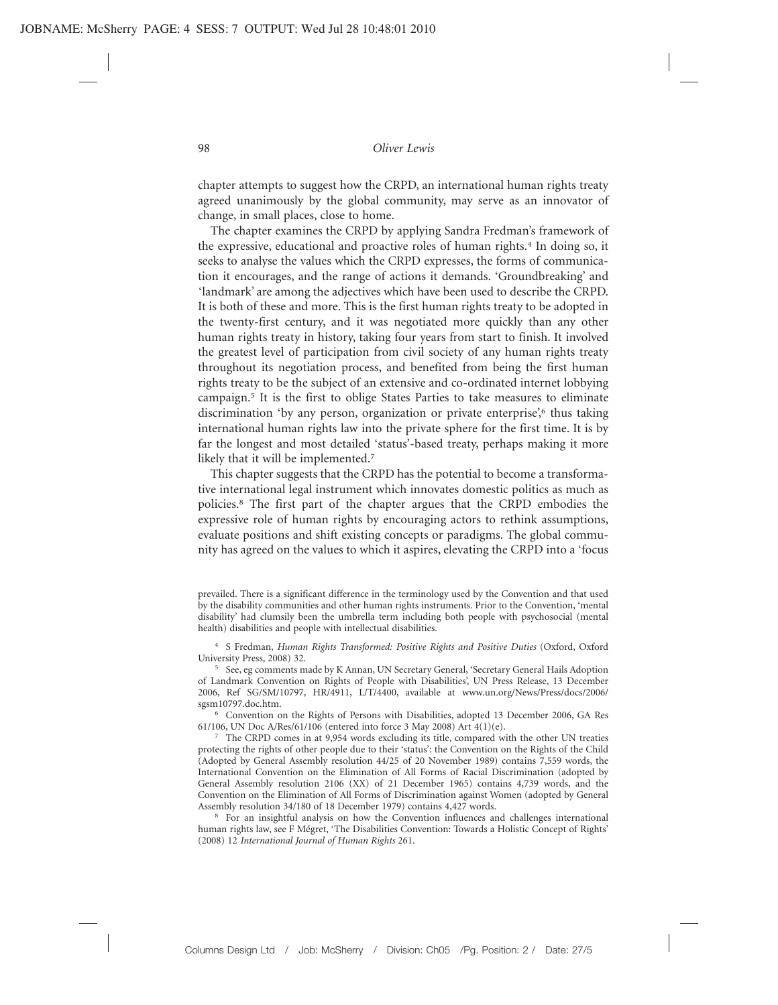chapter attempts to suggest how the CRPD, an international human rights treaty agreed unanimously by the global community, may serve as an innovator of change, in small places, close to home.

The chapter examines the CRPD by applying Sandra Fredman's framework of the expressive, educational and proactive roles of human rights.<sup>4</sup> In doing so, it seeks to analyse the values which the CRPD expresses, the forms of communication it encourages, and the range of actions it demands. 'Groundbreaking' and 'landmark' are among the adjectives which have been used to describe the CRPD. It is both of these and more. This is the first human rights treaty to be adopted in the twenty-first century, and it was negotiated more quickly than any other human rights treaty in history, taking four years from start to finish. It involved the greatest level of participation from civil society of any human rights treaty throughout its negotiation process, and benefited from being the first human rights treaty to be the subject of an extensive and co-ordinated internet lobbying campaign.5 It is the first to oblige States Parties to take measures to eliminate discrimination 'by any person, organization or private enterprise',<sup>6</sup> thus taking international human rights law into the private sphere for the first time. It is by far the longest and most detailed 'status'-based treaty, perhaps making it more likely that it will be implemented.7

This chapter suggests that the CRPD has the potential to become a transformative international legal instrument which innovates domestic politics as much as policies.8 The first part of the chapter argues that the CRPD embodies the expressive role of human rights by encouraging actors to rethink assumptions, evaluate positions and shift existing concepts or paradigms. The global community has agreed on the values to which it aspires, elevating the CRPD into a 'focus

<sup>4</sup> S Fredman, *Human Rights Transformed: Positive Rights and Positive Duties* (Oxford, Oxford University Press, 2008) 32.

<sup>5</sup> See, eg comments made by K Annan, UN Secretary General, 'Secretary General Hails Adoption of Landmark Convention on Rights of People with Disabilities', UN Press Release, 13 December 2006, Ref SG/SM/10797, HR/4911, L/T/4400, available at www.un.org/News/Press/docs/2006/ sgsm10797.doc.htm.

<sup>6</sup> Convention on the Rights of Persons with Disabilities, adopted 13 December 2006, GA Res 61/106, UN Doc A/Res/61/106 (entered into force 3 May 2008) Art 4(1)(e).

The CRPD comes in at 9,954 words excluding its title, compared with the other UN treaties protecting the rights of other people due to their 'status': the Convention on the Rights of the Child (Adopted by General Assembly resolution 44/25 of 20 November 1989) contains 7,559 words, the International Convention on the Elimination of All Forms of Racial Discrimination (adopted by General Assembly resolution 2106 (XX) of 21 December 1965) contains 4,739 words, and the Convention on the Elimination of All Forms of Discrimination against Women (adopted by General Assembly resolution 34/180 of 18 December 1979) contains 4,427 words.

<sup>8</sup> For an insightful analysis on how the Convention influences and challenges international human rights law, see F Mégret, 'The Disabilities Convention: Towards a Holistic Concept of Rights' (2008) 12 *International Journal of Human Rights* 261.

prevailed. There is a significant difference in the terminology used by the Convention and that used by the disability communities and other human rights instruments. Prior to the Convention,'mental disability' had clumsily been the umbrella term including both people with psychosocial (mental health) disabilities and people with intellectual disabilities.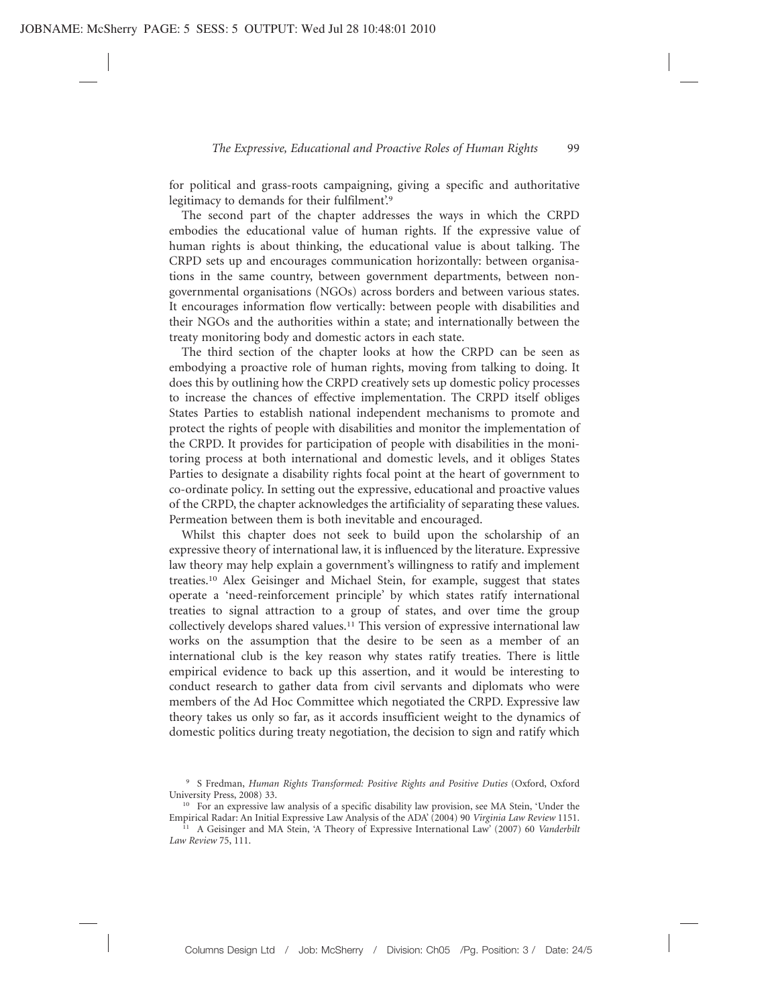for political and grass-roots campaigning, giving a specific and authoritative legitimacy to demands for their fulfilment'.<sup>9</sup>

The second part of the chapter addresses the ways in which the CRPD embodies the educational value of human rights. If the expressive value of human rights is about thinking, the educational value is about talking. The CRPD sets up and encourages communication horizontally: between organisations in the same country, between government departments, between nongovernmental organisations (NGOs) across borders and between various states. It encourages information flow vertically: between people with disabilities and their NGOs and the authorities within a state; and internationally between the treaty monitoring body and domestic actors in each state.

The third section of the chapter looks at how the CRPD can be seen as embodying a proactive role of human rights, moving from talking to doing. It does this by outlining how the CRPD creatively sets up domestic policy processes to increase the chances of effective implementation. The CRPD itself obliges States Parties to establish national independent mechanisms to promote and protect the rights of people with disabilities and monitor the implementation of the CRPD. It provides for participation of people with disabilities in the monitoring process at both international and domestic levels, and it obliges States Parties to designate a disability rights focal point at the heart of government to co-ordinate policy. In setting out the expressive, educational and proactive values of the CRPD, the chapter acknowledges the artificiality of separating these values. Permeation between them is both inevitable and encouraged.

Whilst this chapter does not seek to build upon the scholarship of an expressive theory of international law, it is influenced by the literature. Expressive law theory may help explain a government's willingness to ratify and implement treaties.10 Alex Geisinger and Michael Stein, for example, suggest that states operate a 'need-reinforcement principle' by which states ratify international treaties to signal attraction to a group of states, and over time the group collectively develops shared values.11 This version of expressive international law works on the assumption that the desire to be seen as a member of an international club is the key reason why states ratify treaties. There is little empirical evidence to back up this assertion, and it would be interesting to conduct research to gather data from civil servants and diplomats who were members of the Ad Hoc Committee which negotiated the CRPD. Expressive law theory takes us only so far, as it accords insufficient weight to the dynamics of domestic politics during treaty negotiation, the decision to sign and ratify which

<sup>9</sup> S Fredman, *Human Rights Transformed: Positive Rights and Positive Duties* (Oxford, Oxford University Press, 2008) 33.

<sup>&</sup>lt;sup>10</sup> For an expressive law analysis of a specific disability law provision, see MA Stein, 'Under the Empirical Radar: An Initial Expressive Law Analysis of the ADA' (2004) 90 *Virginia Law Review* 1151. <sup>11</sup> A Geisinger and MA Stein, 'A Theory of Expressive International Law' (2007) 60 *Vanderbilt*

*Law Review* 75, 111.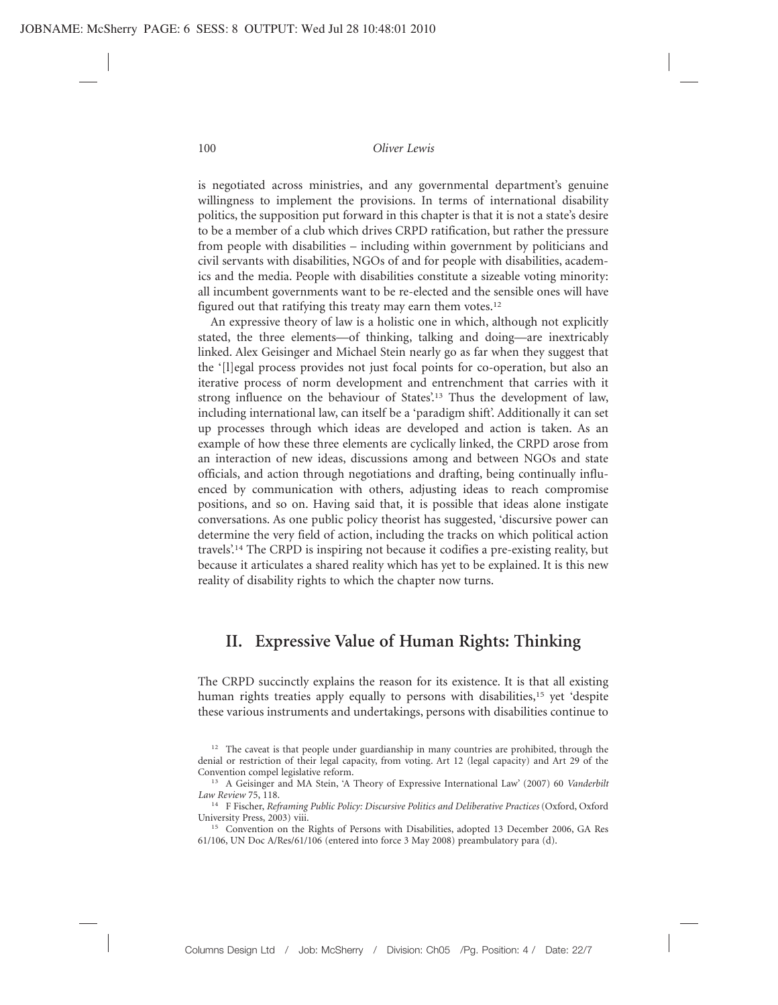is negotiated across ministries, and any governmental department's genuine willingness to implement the provisions. In terms of international disability politics, the supposition put forward in this chapter is that it is not a state's desire to be a member of a club which drives CRPD ratification, but rather the pressure from people with disabilities – including within government by politicians and civil servants with disabilities, NGOs of and for people with disabilities, academics and the media. People with disabilities constitute a sizeable voting minority: all incumbent governments want to be re-elected and the sensible ones will have figured out that ratifying this treaty may earn them votes.<sup>12</sup>

An expressive theory of law is a holistic one in which, although not explicitly stated, the three elements—of thinking, talking and doing—are inextricably linked. Alex Geisinger and Michael Stein nearly go as far when they suggest that the '[l]egal process provides not just focal points for co-operation, but also an iterative process of norm development and entrenchment that carries with it strong influence on the behaviour of States'.13 Thus the development of law, including international law, can itself be a 'paradigm shift'. Additionally it can set up processes through which ideas are developed and action is taken. As an example of how these three elements are cyclically linked, the CRPD arose from an interaction of new ideas, discussions among and between NGOs and state officials, and action through negotiations and drafting, being continually influenced by communication with others, adjusting ideas to reach compromise positions, and so on. Having said that, it is possible that ideas alone instigate conversations. As one public policy theorist has suggested, 'discursive power can determine the very field of action, including the tracks on which political action travels'.14 The CRPD is inspiring not because it codifies a pre-existing reality, but because it articulates a shared reality which has yet to be explained. It is this new reality of disability rights to which the chapter now turns.

# **II. Expressive Value of Human Rights: Thinking**

The CRPD succinctly explains the reason for its existence. It is that all existing human rights treaties apply equally to persons with disabilities,<sup>15</sup> yet 'despite these various instruments and undertakings, persons with disabilities continue to

<sup>&</sup>lt;sup>12</sup> The caveat is that people under guardianship in many countries are prohibited, through the denial or restriction of their legal capacity, from voting. Art 12 (legal capacity) and Art 29 of the Convention compel legislative reform.

<sup>13</sup> A Geisinger and MA Stein, 'A Theory of Expressive International Law' (2007) 60 *Vanderbilt Law Review* 75, 118.

<sup>14</sup> F Fischer, *Reframing Public Policy: Discursive Politics and Deliberative Practices* (Oxford, Oxford University Press, 2003) viii.

<sup>&</sup>lt;sup>15</sup> Convention on the Rights of Persons with Disabilities, adopted 13 December 2006, GA Res 61/106, UN Doc A/Res/61/106 (entered into force 3 May 2008) preambulatory para (d).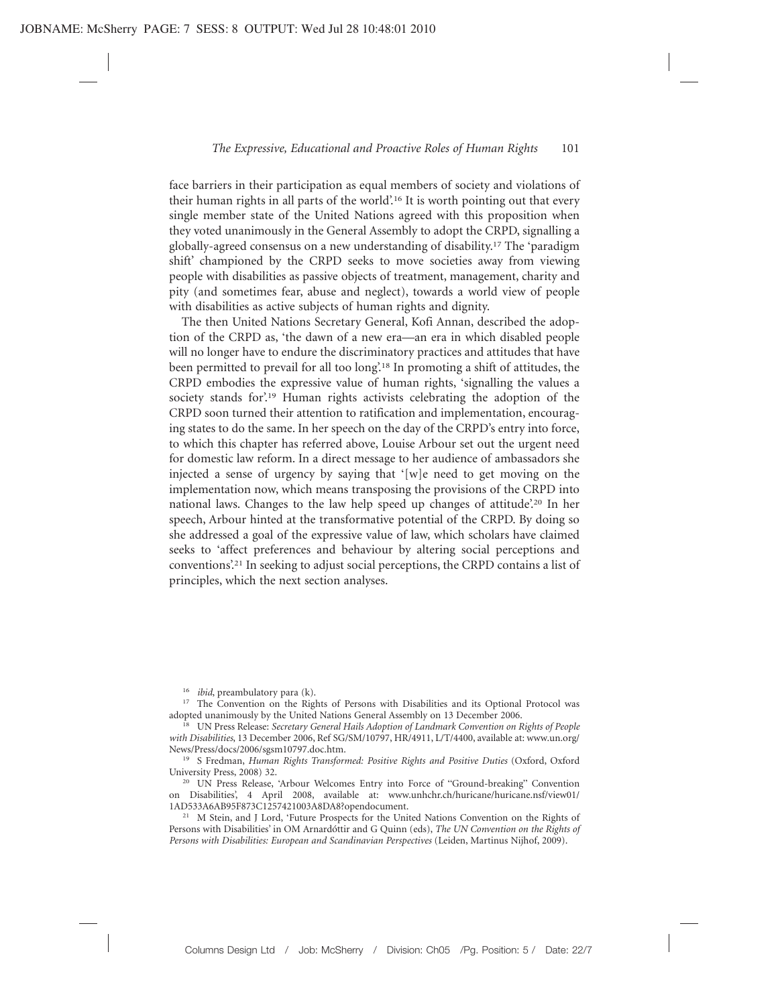face barriers in their participation as equal members of society and violations of their human rights in all parts of the world'.16 It is worth pointing out that every single member state of the United Nations agreed with this proposition when they voted unanimously in the General Assembly to adopt the CRPD, signalling a globally-agreed consensus on a new understanding of disability.17 The 'paradigm shift' championed by the CRPD seeks to move societies away from viewing people with disabilities as passive objects of treatment, management, charity and pity (and sometimes fear, abuse and neglect), towards a world view of people with disabilities as active subjects of human rights and dignity.

The then United Nations Secretary General, Kofi Annan, described the adoption of the CRPD as, 'the dawn of a new era—an era in which disabled people will no longer have to endure the discriminatory practices and attitudes that have been permitted to prevail for all too long'.18 In promoting a shift of attitudes, the CRPD embodies the expressive value of human rights, 'signalling the values a society stands for'.<sup>19</sup> Human rights activists celebrating the adoption of the CRPD soon turned their attention to ratification and implementation, encouraging states to do the same. In her speech on the day of the CRPD's entry into force, to which this chapter has referred above, Louise Arbour set out the urgent need for domestic law reform. In a direct message to her audience of ambassadors she injected a sense of urgency by saying that '[w]e need to get moving on the implementation now, which means transposing the provisions of the CRPD into national laws. Changes to the law help speed up changes of attitude'.20 In her speech, Arbour hinted at the transformative potential of the CRPD. By doing so she addressed a goal of the expressive value of law, which scholars have claimed seeks to 'affect preferences and behaviour by altering social perceptions and conventions'.21 In seeking to adjust social perceptions, the CRPD contains a list of principles, which the next section analyses.

<sup>16</sup> *ibid*, preambulatory para (k).

<sup>&</sup>lt;sup>17</sup> The Convention on the Rights of Persons with Disabilities and its Optional Protocol was adopted unanimously by the United Nations General Assembly on 13 December 2006.

<sup>18</sup> UN Press Release: *Secretary General Hails Adoption of Landmark Convention on Rights of People with Disabilities*, 13 December 2006, Ref SG/SM/10797, HR/4911, L/T/4400, available at: www.un.org/ News/Press/docs/2006/sgsm10797.doc.htm.

<sup>19</sup> S Fredman, *Human Rights Transformed: Positive Rights and Positive Duties* (Oxford, Oxford University Press, 2008) 32.

<sup>20</sup> UN Press Release, 'Arbour Welcomes Entry into Force of "Ground-breaking" Convention on Disabilities', 4 April 2008, available at: www.unhchr.ch/huricane/huricane.nsf/view01/ 1AD533A6AB95F873C1257421003A8DA8?opendocument.

<sup>&</sup>lt;sup>21</sup> M Stein, and J Lord, 'Future Prospects for the United Nations Convention on the Rights of Persons with Disabilities' in OM Arnardóttir and G Quinn (eds), *The UN Convention on the Rights of Persons with Disabilities: European and Scandinavian Perspectives* (Leiden, Martinus Nijhof, 2009).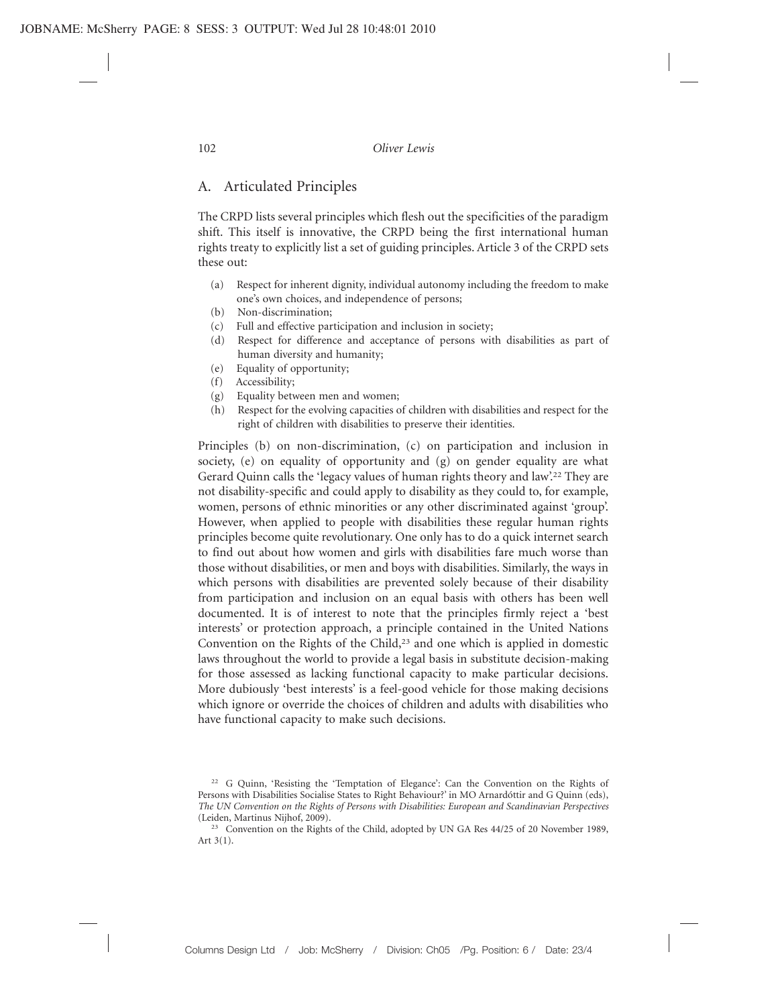### A. Articulated Principles

The CRPD lists several principles which flesh out the specificities of the paradigm shift. This itself is innovative, the CRPD being the first international human rights treaty to explicitly list a set of guiding principles. Article 3 of the CRPD sets these out:

- (a) Respect for inherent dignity, individual autonomy including the freedom to make one's own choices, and independence of persons;
- (b) Non-discrimination;
- (c) Full and effective participation and inclusion in society;
- (d) Respect for difference and acceptance of persons with disabilities as part of human diversity and humanity;
- (e) Equality of opportunity;
- (f) Accessibility;
- (g) Equality between men and women;
- (h) Respect for the evolving capacities of children with disabilities and respect for the right of children with disabilities to preserve their identities.

Principles (b) on non-discrimination, (c) on participation and inclusion in society, (e) on equality of opportunity and (g) on gender equality are what Gerard Quinn calls the 'legacy values of human rights theory and law'.22 They are not disability-specific and could apply to disability as they could to, for example, women, persons of ethnic minorities or any other discriminated against 'group'. However, when applied to people with disabilities these regular human rights principles become quite revolutionary. One only has to do a quick internet search to find out about how women and girls with disabilities fare much worse than those without disabilities, or men and boys with disabilities. Similarly, the ways in which persons with disabilities are prevented solely because of their disability from participation and inclusion on an equal basis with others has been well documented. It is of interest to note that the principles firmly reject a 'best interests' or protection approach, a principle contained in the United Nations Convention on the Rights of the Child,<sup>23</sup> and one which is applied in domestic laws throughout the world to provide a legal basis in substitute decision-making for those assessed as lacking functional capacity to make particular decisions. More dubiously 'best interests' is a feel-good vehicle for those making decisions which ignore or override the choices of children and adults with disabilities who have functional capacity to make such decisions.

<sup>22</sup> G Quinn, 'Resisting the 'Temptation of Elegance': Can the Convention on the Rights of Persons with Disabilities Socialise States to Right Behaviour?' in MO Arnardóttir and G Quinn (eds), *The UN Convention on the Rights of Persons with Disabilities: European and Scandinavian Perspectives* (Leiden, Martinus Nijhof, 2009).

<sup>23</sup> Convention on the Rights of the Child, adopted by UN GA Res 44/25 of 20 November 1989, Art 3(1).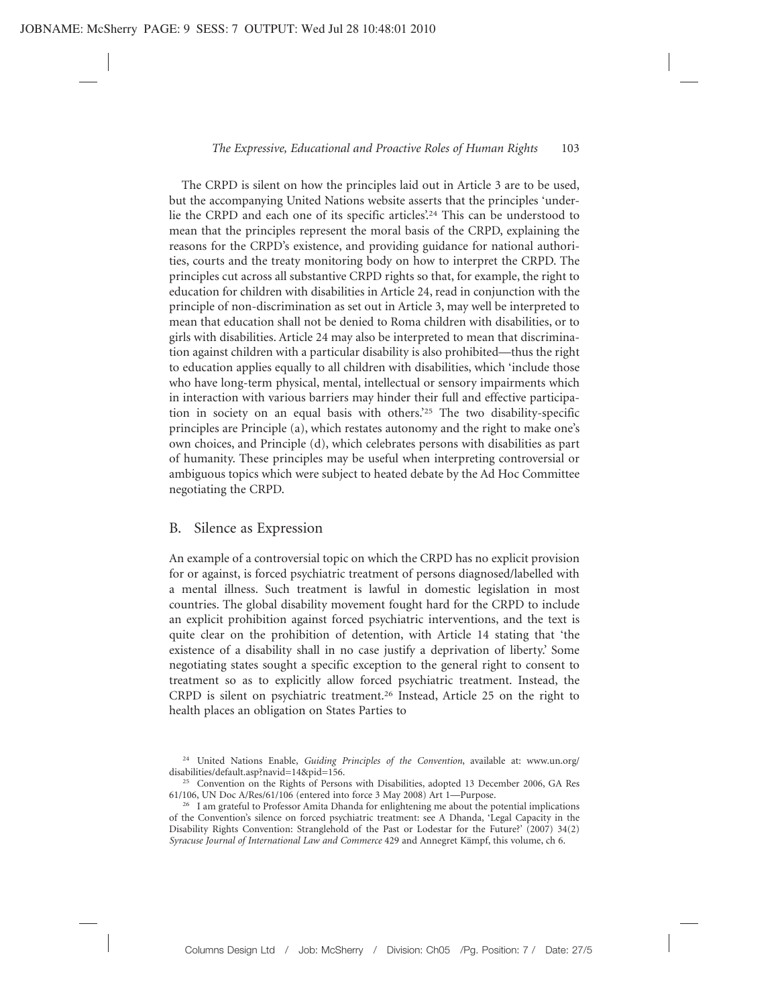The CRPD is silent on how the principles laid out in Article 3 are to be used, but the accompanying United Nations website asserts that the principles 'underlie the CRPD and each one of its specific articles'.24 This can be understood to mean that the principles represent the moral basis of the CRPD, explaining the reasons for the CRPD's existence, and providing guidance for national authorities, courts and the treaty monitoring body on how to interpret the CRPD. The principles cut across all substantive CRPD rights so that, for example, the right to education for children with disabilities in Article 24, read in conjunction with the principle of non-discrimination as set out in Article 3, may well be interpreted to mean that education shall not be denied to Roma children with disabilities, or to girls with disabilities. Article 24 may also be interpreted to mean that discrimination against children with a particular disability is also prohibited—thus the right to education applies equally to all children with disabilities, which 'include those who have long-term physical, mental, intellectual or sensory impairments which in interaction with various barriers may hinder their full and effective participation in society on an equal basis with others.'25 The two disability-specific principles are Principle (a), which restates autonomy and the right to make one's own choices, and Principle (d), which celebrates persons with disabilities as part of humanity. These principles may be useful when interpreting controversial or ambiguous topics which were subject to heated debate by the Ad Hoc Committee negotiating the CRPD.

#### B. Silence as Expression

An example of a controversial topic on which the CRPD has no explicit provision for or against, is forced psychiatric treatment of persons diagnosed/labelled with a mental illness. Such treatment is lawful in domestic legislation in most countries. The global disability movement fought hard for the CRPD to include an explicit prohibition against forced psychiatric interventions, and the text is quite clear on the prohibition of detention, with Article 14 stating that 'the existence of a disability shall in no case justify a deprivation of liberty.' Some negotiating states sought a specific exception to the general right to consent to treatment so as to explicitly allow forced psychiatric treatment. Instead, the CRPD is silent on psychiatric treatment.26 Instead, Article 25 on the right to health places an obligation on States Parties to

<sup>24</sup> United Nations Enable, *Guiding Principles of the Convention*, available at: www.un.org/ disabilities/default.asp?navid=14&pid=156.

<sup>25</sup> Convention on the Rights of Persons with Disabilities, adopted 13 December 2006, GA Res 61/106, UN Doc A/Res/61/106 (entered into force 3 May 2008) Art 1—Purpose.

 $26$  I am grateful to Professor Amita Dhanda for enlightening me about the potential implications of the Convention's silence on forced psychiatric treatment: see A Dhanda, 'Legal Capacity in the Disability Rights Convention: Stranglehold of the Past or Lodestar for the Future?' (2007) 34(2) *Syracuse Journal of International Law and Commerce* 429 and Annegret Kämpf, this volume, ch 6.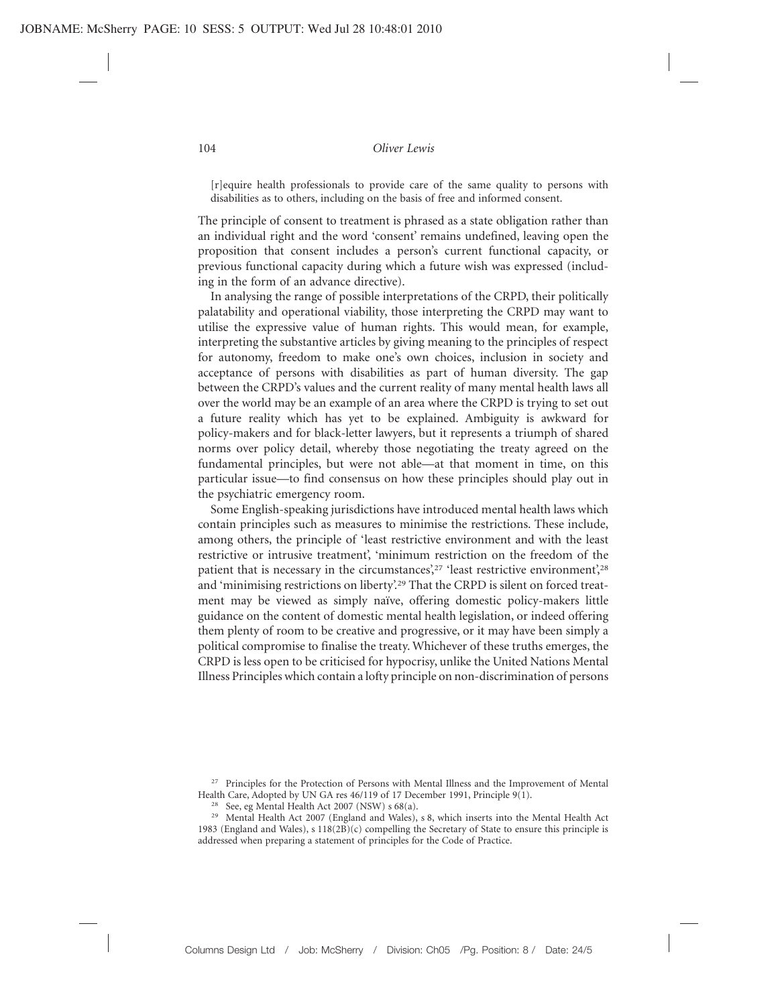[r]equire health professionals to provide care of the same quality to persons with disabilities as to others, including on the basis of free and informed consent.

The principle of consent to treatment is phrased as a state obligation rather than an individual right and the word 'consent' remains undefined, leaving open the proposition that consent includes a person's current functional capacity, or previous functional capacity during which a future wish was expressed (including in the form of an advance directive).

In analysing the range of possible interpretations of the CRPD, their politically palatability and operational viability, those interpreting the CRPD may want to utilise the expressive value of human rights. This would mean, for example, interpreting the substantive articles by giving meaning to the principles of respect for autonomy, freedom to make one's own choices, inclusion in society and acceptance of persons with disabilities as part of human diversity. The gap between the CRPD's values and the current reality of many mental health laws all over the world may be an example of an area where the CRPD is trying to set out a future reality which has yet to be explained. Ambiguity is awkward for policy-makers and for black-letter lawyers, but it represents a triumph of shared norms over policy detail, whereby those negotiating the treaty agreed on the fundamental principles, but were not able—at that moment in time, on this particular issue—to find consensus on how these principles should play out in the psychiatric emergency room.

Some English-speaking jurisdictions have introduced mental health laws which contain principles such as measures to minimise the restrictions. These include, among others, the principle of 'least restrictive environment and with the least restrictive or intrusive treatment', 'minimum restriction on the freedom of the patient that is necessary in the circumstances',<sup>27</sup> 'least restrictive environment',<sup>28</sup> and 'minimising restrictions on liberty'.<sup>29</sup> That the CRPD is silent on forced treatment may be viewed as simply naïve, offering domestic policy-makers little guidance on the content of domestic mental health legislation, or indeed offering them plenty of room to be creative and progressive, or it may have been simply a political compromise to finalise the treaty. Whichever of these truths emerges, the CRPD is less open to be criticised for hypocrisy, unlike the United Nations Mental Illness Principles which contain a lofty principle on non-discrimination of persons

<sup>&</sup>lt;sup>27</sup> Principles for the Protection of Persons with Mental Illness and the Improvement of Mental Health Care, Adopted by UN GA res 46/119 of 17 December 1991, Principle 9(1).

 $28$  See, eg Mental Health Act 2007 (NSW) s 68(a).

<sup>29</sup> Mental Health Act 2007 (England and Wales), s 8, which inserts into the Mental Health Act 1983 (England and Wales), s 118(2B)(c) compelling the Secretary of State to ensure this principle is addressed when preparing a statement of principles for the Code of Practice.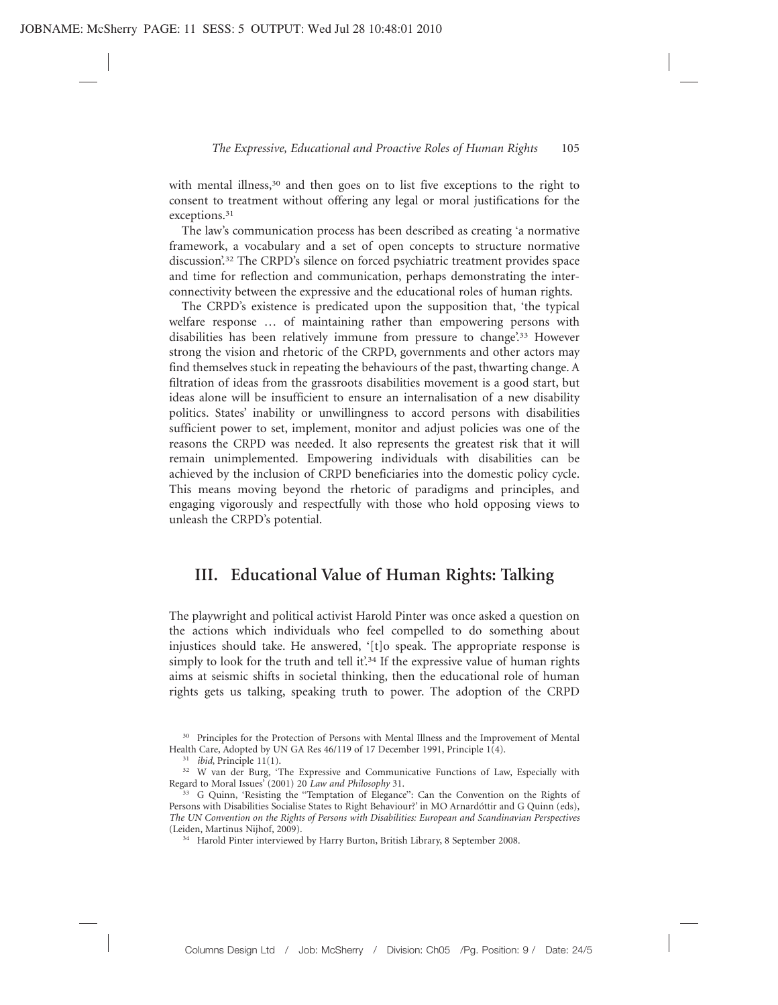with mental illness,<sup>30</sup> and then goes on to list five exceptions to the right to consent to treatment without offering any legal or moral justifications for the exceptions.<sup>31</sup>

The law's communication process has been described as creating 'a normative framework, a vocabulary and a set of open concepts to structure normative discussion'.<sup>32</sup> The CRPD's silence on forced psychiatric treatment provides space and time for reflection and communication, perhaps demonstrating the interconnectivity between the expressive and the educational roles of human rights.

The CRPD's existence is predicated upon the supposition that, 'the typical welfare response … of maintaining rather than empowering persons with disabilities has been relatively immune from pressure to change'.33 However strong the vision and rhetoric of the CRPD, governments and other actors may find themselves stuck in repeating the behaviours of the past, thwarting change. A filtration of ideas from the grassroots disabilities movement is a good start, but ideas alone will be insufficient to ensure an internalisation of a new disability politics. States' inability or unwillingness to accord persons with disabilities sufficient power to set, implement, monitor and adjust policies was one of the reasons the CRPD was needed. It also represents the greatest risk that it will remain unimplemented. Empowering individuals with disabilities can be achieved by the inclusion of CRPD beneficiaries into the domestic policy cycle. This means moving beyond the rhetoric of paradigms and principles, and engaging vigorously and respectfully with those who hold opposing views to unleash the CRPD's potential.

# **III. Educational Value of Human Rights: Talking**

The playwright and political activist Harold Pinter was once asked a question on the actions which individuals who feel compelled to do something about injustices should take. He answered, '[t]o speak. The appropriate response is simply to look for the truth and tell it'.<sup>34</sup> If the expressive value of human rights aims at seismic shifts in societal thinking, then the educational role of human rights gets us talking, speaking truth to power. The adoption of the CRPD

<sup>&</sup>lt;sup>30</sup> Principles for the Protection of Persons with Mental Illness and the Improvement of Mental Health Care, Adopted by UN GA Res 46/119 of 17 December 1991, Principle 1(4).

<sup>31</sup> *ibid*, Principle 11(1).

<sup>32</sup> W van der Burg, 'The Expressive and Communicative Functions of Law, Especially with Regard to Moral Issues' (2001) 20 *Law and Philosophy* 31.

<sup>&</sup>lt;sup>33</sup> G Quinn, 'Resisting the "Temptation of Elegance": Can the Convention on the Rights of Persons with Disabilities Socialise States to Right Behaviour?' in MO Arnardóttir and G Quinn (eds), *The UN Convention on the Rights of Persons with Disabilities: European and Scandinavian Perspectives* (Leiden, Martinus Nijhof, 2009).

<sup>&</sup>lt;sup>34</sup> Harold Pinter interviewed by Harry Burton, British Library, 8 September 2008.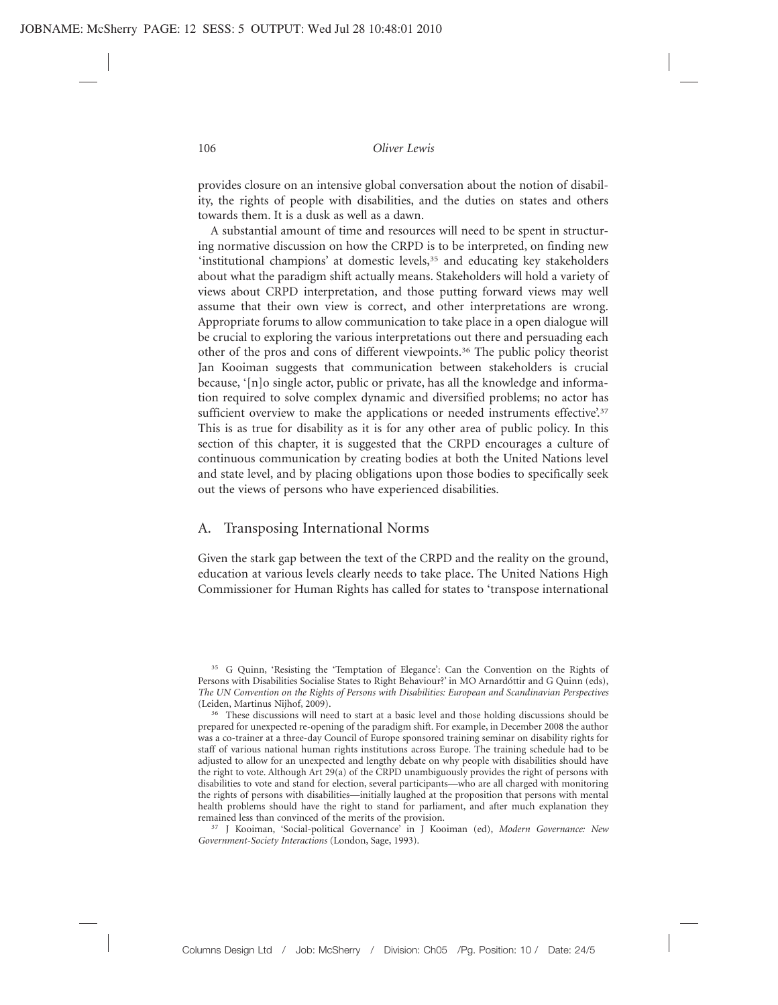provides closure on an intensive global conversation about the notion of disability, the rights of people with disabilities, and the duties on states and others towards them. It is a dusk as well as a dawn.

A substantial amount of time and resources will need to be spent in structuring normative discussion on how the CRPD is to be interpreted, on finding new 'institutional champions' at domestic levels,<sup>35</sup> and educating key stakeholders about what the paradigm shift actually means. Stakeholders will hold a variety of views about CRPD interpretation, and those putting forward views may well assume that their own view is correct, and other interpretations are wrong. Appropriate forums to allow communication to take place in a open dialogue will be crucial to exploring the various interpretations out there and persuading each other of the pros and cons of different viewpoints.36 The public policy theorist Jan Kooiman suggests that communication between stakeholders is crucial because, '[n]o single actor, public or private, has all the knowledge and information required to solve complex dynamic and diversified problems; no actor has sufficient overview to make the applications or needed instruments effective'.<sup>37</sup> This is as true for disability as it is for any other area of public policy. In this section of this chapter, it is suggested that the CRPD encourages a culture of continuous communication by creating bodies at both the United Nations level and state level, and by placing obligations upon those bodies to specifically seek out the views of persons who have experienced disabilities.

#### A. Transposing International Norms

Given the stark gap between the text of the CRPD and the reality on the ground, education at various levels clearly needs to take place. The United Nations High Commissioner for Human Rights has called for states to 'transpose international

<sup>37</sup> J Kooiman, 'Social-political Governance' in J Kooiman (ed), *Modern Governance: New Government-Society Interactions* (London, Sage, 1993).

<sup>&</sup>lt;sup>35</sup> G Quinn, 'Resisting the 'Temptation of Elegance': Can the Convention on the Rights of Persons with Disabilities Socialise States to Right Behaviour?' in MO Arnardóttir and G Quinn (eds), *The UN Convention on the Rights of Persons with Disabilities: European and Scandinavian Perspectives* (Leiden, Martinus Nijhof, 2009).

<sup>&</sup>lt;sup>36</sup> These discussions will need to start at a basic level and those holding discussions should be prepared for unexpected re-opening of the paradigm shift. For example, in December 2008 the author was a co-trainer at a three-day Council of Europe sponsored training seminar on disability rights for staff of various national human rights institutions across Europe. The training schedule had to be adjusted to allow for an unexpected and lengthy debate on why people with disabilities should have the right to vote. Although Art 29(a) of the CRPD unambiguously provides the right of persons with disabilities to vote and stand for election, several participants—who are all charged with monitoring the rights of persons with disabilities—initially laughed at the proposition that persons with mental health problems should have the right to stand for parliament, and after much explanation they remained less than convinced of the merits of the provision.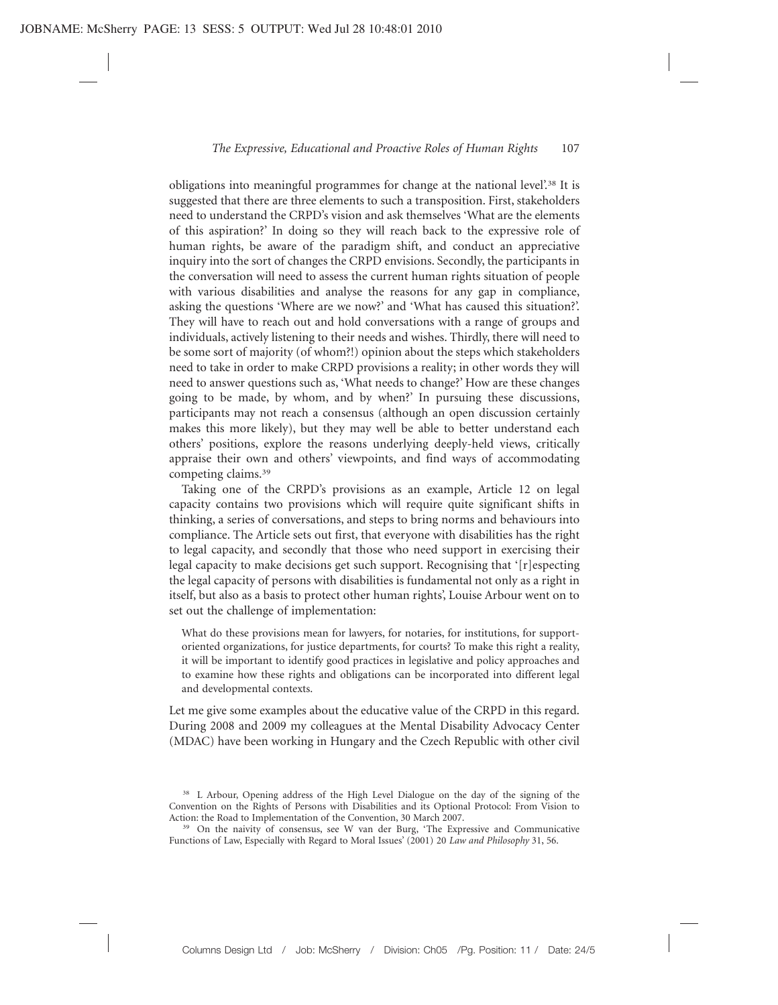obligations into meaningful programmes for change at the national level'.38 It is suggested that there are three elements to such a transposition. First, stakeholders need to understand the CRPD's vision and ask themselves'What are the elements of this aspiration?' In doing so they will reach back to the expressive role of human rights, be aware of the paradigm shift, and conduct an appreciative inquiry into the sort of changes the CRPD envisions. Secondly, the participants in the conversation will need to assess the current human rights situation of people with various disabilities and analyse the reasons for any gap in compliance, asking the questions 'Where are we now?' and 'What has caused this situation?'. They will have to reach out and hold conversations with a range of groups and individuals, actively listening to their needs and wishes. Thirdly, there will need to be some sort of majority (of whom?!) opinion about the steps which stakeholders need to take in order to make CRPD provisions a reality; in other words they will need to answer questions such as,'What needs to change?' How are these changes going to be made, by whom, and by when?' In pursuing these discussions, participants may not reach a consensus (although an open discussion certainly makes this more likely), but they may well be able to better understand each others' positions, explore the reasons underlying deeply-held views, critically appraise their own and others' viewpoints, and find ways of accommodating competing claims.39

Taking one of the CRPD's provisions as an example, Article 12 on legal capacity contains two provisions which will require quite significant shifts in thinking, a series of conversations, and steps to bring norms and behaviours into compliance. The Article sets out first, that everyone with disabilities has the right to legal capacity, and secondly that those who need support in exercising their legal capacity to make decisions get such support. Recognising that '[r]especting the legal capacity of persons with disabilities is fundamental not only as a right in itself, but also as a basis to protect other human rights', Louise Arbour went on to set out the challenge of implementation:

What do these provisions mean for lawyers, for notaries, for institutions, for supportoriented organizations, for justice departments, for courts? To make this right a reality, it will be important to identify good practices in legislative and policy approaches and to examine how these rights and obligations can be incorporated into different legal and developmental contexts.

Let me give some examples about the educative value of the CRPD in this regard. During 2008 and 2009 my colleagues at the Mental Disability Advocacy Center (MDAC) have been working in Hungary and the Czech Republic with other civil

<sup>38</sup> L Arbour, Opening address of the High Level Dialogue on the day of the signing of the Convention on the Rights of Persons with Disabilities and its Optional Protocol: From Vision to Action: the Road to Implementation of the Convention, 30 March 2007.

<sup>&</sup>lt;sup>39</sup> On the naivity of consensus, see W van der Burg, 'The Expressive and Communicative Functions of Law, Especially with Regard to Moral Issues' (2001) 20 *Law and Philosophy* 31, 56.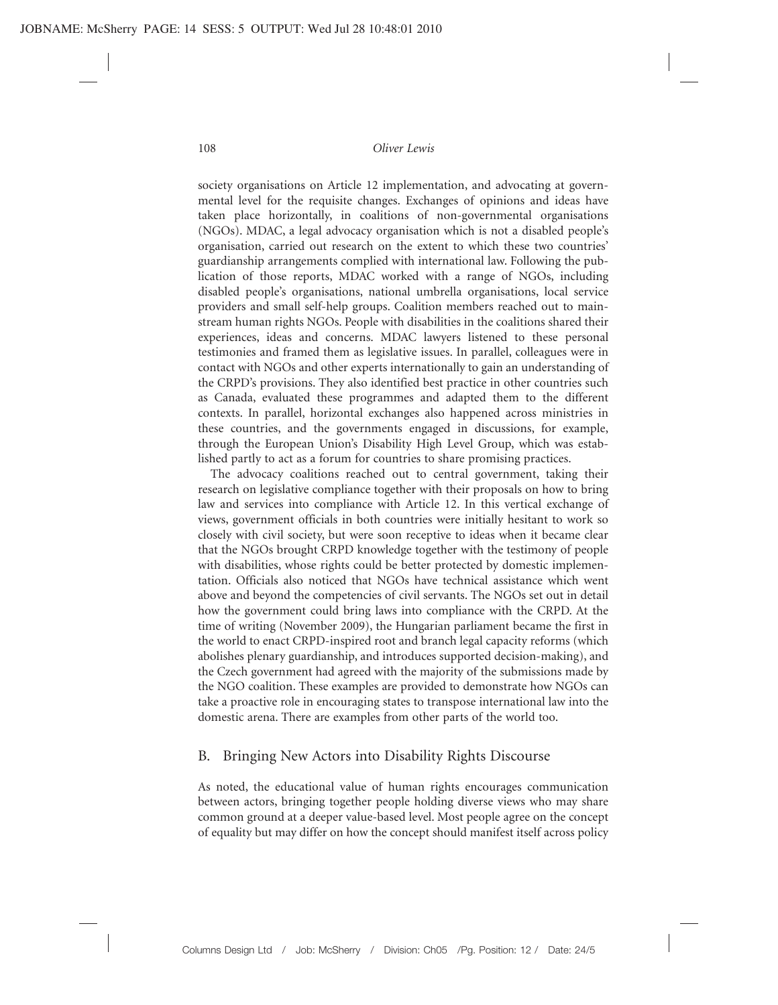society organisations on Article 12 implementation, and advocating at governmental level for the requisite changes. Exchanges of opinions and ideas have taken place horizontally, in coalitions of non-governmental organisations (NGOs). MDAC, a legal advocacy organisation which is not a disabled people's organisation, carried out research on the extent to which these two countries' guardianship arrangements complied with international law. Following the publication of those reports, MDAC worked with a range of NGOs, including disabled people's organisations, national umbrella organisations, local service providers and small self-help groups. Coalition members reached out to mainstream human rights NGOs. People with disabilities in the coalitions shared their experiences, ideas and concerns. MDAC lawyers listened to these personal testimonies and framed them as legislative issues. In parallel, colleagues were in contact with NGOs and other experts internationally to gain an understanding of the CRPD's provisions. They also identified best practice in other countries such as Canada, evaluated these programmes and adapted them to the different contexts. In parallel, horizontal exchanges also happened across ministries in these countries, and the governments engaged in discussions, for example, through the European Union's Disability High Level Group, which was established partly to act as a forum for countries to share promising practices.

The advocacy coalitions reached out to central government, taking their research on legislative compliance together with their proposals on how to bring law and services into compliance with Article 12. In this vertical exchange of views, government officials in both countries were initially hesitant to work so closely with civil society, but were soon receptive to ideas when it became clear that the NGOs brought CRPD knowledge together with the testimony of people with disabilities, whose rights could be better protected by domestic implementation. Officials also noticed that NGOs have technical assistance which went above and beyond the competencies of civil servants. The NGOs set out in detail how the government could bring laws into compliance with the CRPD. At the time of writing (November 2009), the Hungarian parliament became the first in the world to enact CRPD-inspired root and branch legal capacity reforms (which abolishes plenary guardianship, and introduces supported decision-making), and the Czech government had agreed with the majority of the submissions made by the NGO coalition. These examples are provided to demonstrate how NGOs can take a proactive role in encouraging states to transpose international law into the domestic arena. There are examples from other parts of the world too.

#### B. Bringing New Actors into Disability Rights Discourse

As noted, the educational value of human rights encourages communication between actors, bringing together people holding diverse views who may share common ground at a deeper value-based level. Most people agree on the concept of equality but may differ on how the concept should manifest itself across policy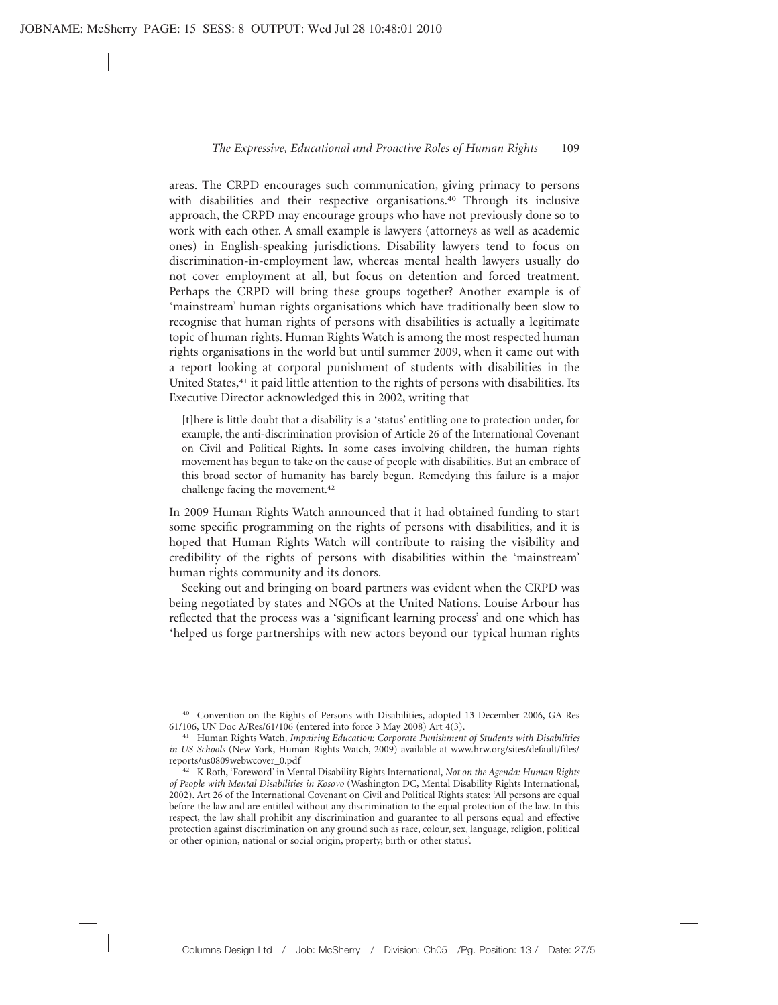areas. The CRPD encourages such communication, giving primacy to persons with disabilities and their respective organisations.40 Through its inclusive approach, the CRPD may encourage groups who have not previously done so to work with each other. A small example is lawyers (attorneys as well as academic ones) in English-speaking jurisdictions. Disability lawyers tend to focus on discrimination-in-employment law, whereas mental health lawyers usually do not cover employment at all, but focus on detention and forced treatment. Perhaps the CRPD will bring these groups together? Another example is of 'mainstream' human rights organisations which have traditionally been slow to recognise that human rights of persons with disabilities is actually a legitimate topic of human rights. Human Rights Watch is among the most respected human rights organisations in the world but until summer 2009, when it came out with a report looking at corporal punishment of students with disabilities in the United States,<sup>41</sup> it paid little attention to the rights of persons with disabilities. Its Executive Director acknowledged this in 2002, writing that

[t]here is little doubt that a disability is a 'status' entitling one to protection under, for example, the anti-discrimination provision of Article 26 of the International Covenant on Civil and Political Rights. In some cases involving children, the human rights movement has begun to take on the cause of people with disabilities. But an embrace of this broad sector of humanity has barely begun. Remedying this failure is a major challenge facing the movement.42

In 2009 Human Rights Watch announced that it had obtained funding to start some specific programming on the rights of persons with disabilities, and it is hoped that Human Rights Watch will contribute to raising the visibility and credibility of the rights of persons with disabilities within the 'mainstream' human rights community and its donors.

Seeking out and bringing on board partners was evident when the CRPD was being negotiated by states and NGOs at the United Nations. Louise Arbour has reflected that the process was a 'significant learning process' and one which has 'helped us forge partnerships with new actors beyond our typical human rights

<sup>40</sup> Convention on the Rights of Persons with Disabilities, adopted 13 December 2006, GA Res 61/106, UN Doc A/Res/61/106 (entered into force 3 May 2008) Art 4(3).

<sup>41</sup> Human Rights Watch, *Impairing Education: Corporate Punishment of Students with Disabilities in US Schools* (New York, Human Rights Watch, 2009) available at www.hrw.org/sites/default/files/ reports/us0809webwcover\_0.pdf

<sup>42</sup> K Roth,'Foreword' in Mental Disability Rights International, *Not on the Agenda: Human Rights of People with Mental Disabilities in Kosovo* (Washington DC, Mental Disability Rights International, 2002). Art 26 of the International Covenant on Civil and Political Rights states: 'All persons are equal before the law and are entitled without any discrimination to the equal protection of the law. In this respect, the law shall prohibit any discrimination and guarantee to all persons equal and effective protection against discrimination on any ground such as race, colour, sex, language, religion, political or other opinion, national or social origin, property, birth or other status'.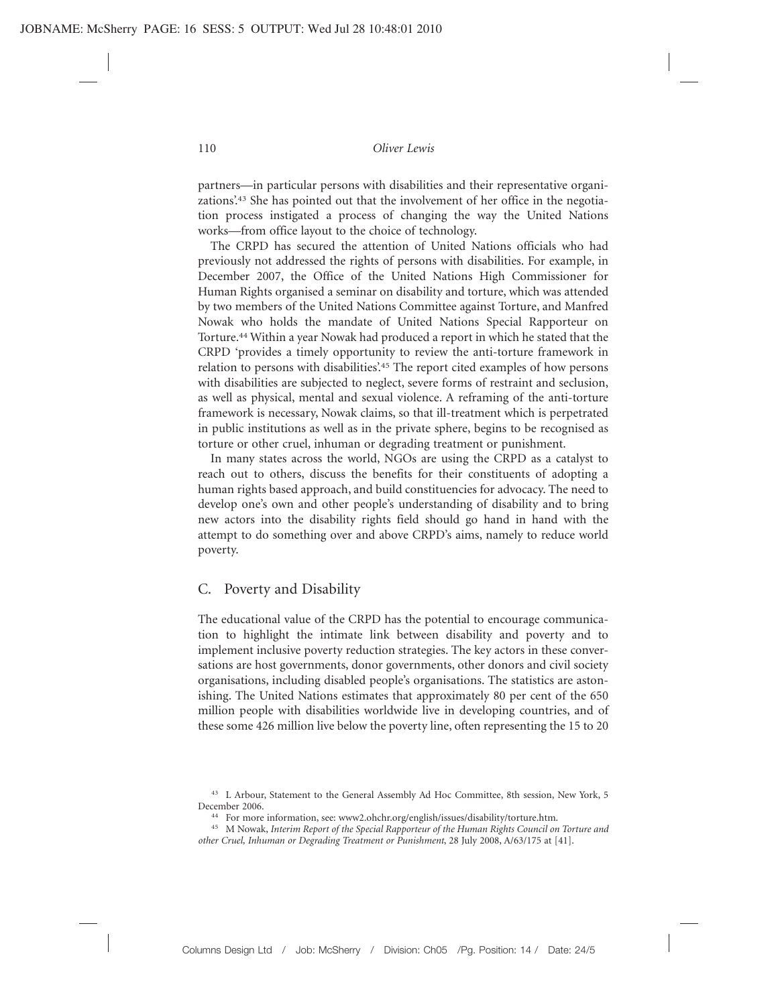partners—in particular persons with disabilities and their representative organizations'.43 She has pointed out that the involvement of her office in the negotiation process instigated a process of changing the way the United Nations works—from office layout to the choice of technology.

The CRPD has secured the attention of United Nations officials who had previously not addressed the rights of persons with disabilities. For example, in December 2007, the Office of the United Nations High Commissioner for Human Rights organised a seminar on disability and torture, which was attended by two members of the United Nations Committee against Torture, and Manfred Nowak who holds the mandate of United Nations Special Rapporteur on Torture.44 Within a year Nowak had produced a report in which he stated that the CRPD 'provides a timely opportunity to review the anti-torture framework in relation to persons with disabilities'.45 The report cited examples of how persons with disabilities are subjected to neglect, severe forms of restraint and seclusion, as well as physical, mental and sexual violence. A reframing of the anti-torture framework is necessary, Nowak claims, so that ill-treatment which is perpetrated in public institutions as well as in the private sphere, begins to be recognised as torture or other cruel, inhuman or degrading treatment or punishment.

In many states across the world, NGOs are using the CRPD as a catalyst to reach out to others, discuss the benefits for their constituents of adopting a human rights based approach, and build constituencies for advocacy. The need to develop one's own and other people's understanding of disability and to bring new actors into the disability rights field should go hand in hand with the attempt to do something over and above CRPD's aims, namely to reduce world poverty.

#### C. Poverty and Disability

The educational value of the CRPD has the potential to encourage communication to highlight the intimate link between disability and poverty and to implement inclusive poverty reduction strategies. The key actors in these conversations are host governments, donor governments, other donors and civil society organisations, including disabled people's organisations. The statistics are astonishing. The United Nations estimates that approximately 80 per cent of the 650 million people with disabilities worldwide live in developing countries, and of these some 426 million live below the poverty line, often representing the 15 to 20

<sup>43</sup> L Arbour, Statement to the General Assembly Ad Hoc Committee, 8th session, New York, 5 December 2006.

<sup>44</sup> For more information, see: www2.ohchr.org/english/issues/disability/torture.htm.

<sup>45</sup> M Nowak, *Interim Report of the Special Rapporteur of the Human Rights Council on Torture and other Cruel, Inhuman or Degrading Treatment or Punishment*, 28 July 2008, A/63/175 at [41].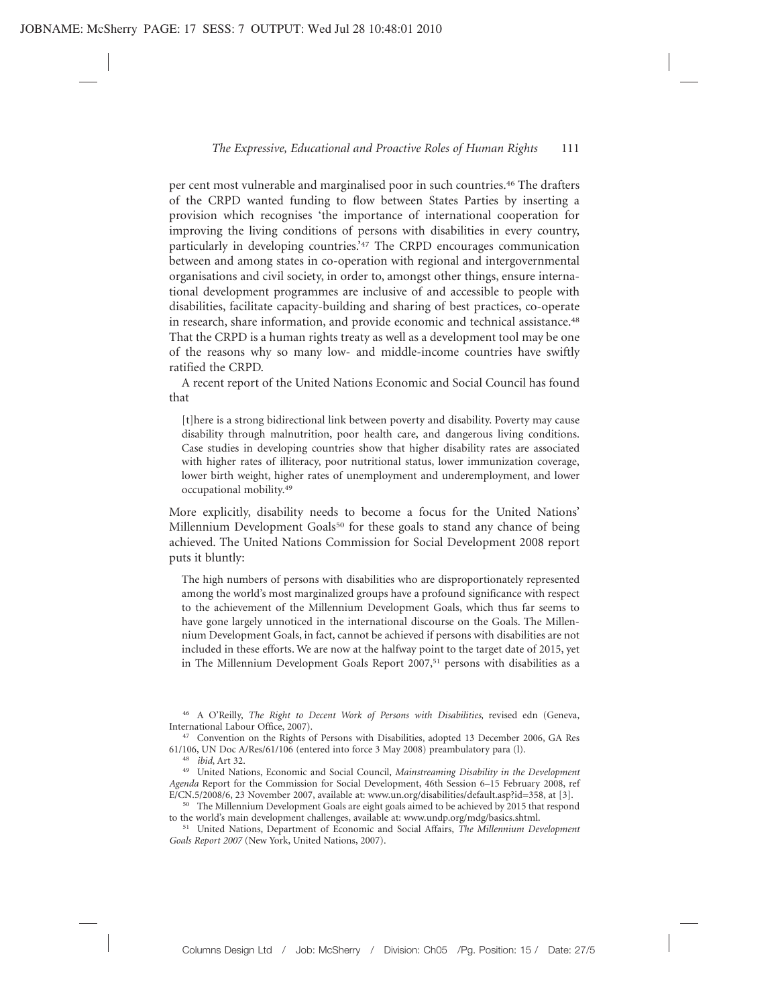per cent most vulnerable and marginalised poor in such countries.46 The drafters of the CRPD wanted funding to flow between States Parties by inserting a provision which recognises 'the importance of international cooperation for improving the living conditions of persons with disabilities in every country, particularly in developing countries.<sup>'47</sup> The CRPD encourages communication between and among states in co-operation with regional and intergovernmental organisations and civil society, in order to, amongst other things, ensure international development programmes are inclusive of and accessible to people with disabilities, facilitate capacity-building and sharing of best practices, co-operate in research, share information, and provide economic and technical assistance.<sup>48</sup> That the CRPD is a human rights treaty as well as a development tool may be one of the reasons why so many low- and middle-income countries have swiftly ratified the CRPD.

A recent report of the United Nations Economic and Social Council has found that

[t]here is a strong bidirectional link between poverty and disability. Poverty may cause disability through malnutrition, poor health care, and dangerous living conditions. Case studies in developing countries show that higher disability rates are associated with higher rates of illiteracy, poor nutritional status, lower immunization coverage, lower birth weight, higher rates of unemployment and underemployment, and lower occupational mobility.49

More explicitly, disability needs to become a focus for the United Nations' Millennium Development Goals<sup>50</sup> for these goals to stand any chance of being achieved. The United Nations Commission for Social Development 2008 report puts it bluntly:

The high numbers of persons with disabilities who are disproportionately represented among the world's most marginalized groups have a profound significance with respect to the achievement of the Millennium Development Goals, which thus far seems to have gone largely unnoticed in the international discourse on the Goals. The Millennium Development Goals, in fact, cannot be achieved if persons with disabilities are not included in these efforts. We are now at the halfway point to the target date of 2015, yet in The Millennium Development Goals Report 2007,<sup>51</sup> persons with disabilities as a

<sup>46</sup> A O'Reilly, *The Right to Decent Work of Persons with Disabilities*, revised edn (Geneva, International Labour Office, 2007).

<sup>47</sup> Convention on the Rights of Persons with Disabilities, adopted 13 December 2006, GA Res 61/106, UN Doc A/Res/61/106 (entered into force 3 May 2008) preambulatory para (l).

*ibid*, Art 32.

<sup>49</sup> United Nations, Economic and Social Council, *Mainstreaming Disability in the Development Agenda* Report for the Commission for Social Development, 46th Session 6–15 February 2008, ref E/CN.5/2008/6, 23 November 2007, available at: www.un.org/disabilities/default.asp?id=358, at [3].

<sup>&</sup>lt;sup>50</sup> The Millennium Development Goals are eight goals aimed to be achieved by 2015 that respond to the world's main development challenges, available at: www.undp.org/mdg/basics.shtml.

<sup>51</sup> United Nations, Department of Economic and Social Affairs, *The Millennium Development Goals Report 2007* (New York, United Nations, 2007).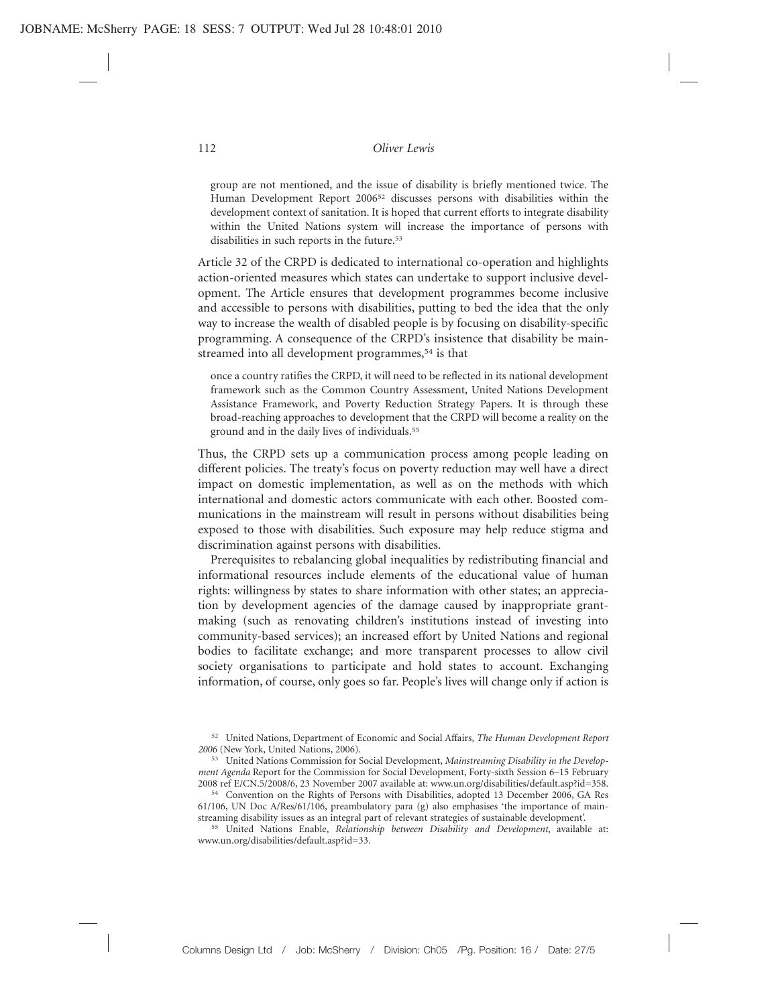group are not mentioned, and the issue of disability is briefly mentioned twice. The Human Development Report 200652 discusses persons with disabilities within the development context of sanitation. It is hoped that current efforts to integrate disability within the United Nations system will increase the importance of persons with disabilities in such reports in the future.<sup>53</sup>

Article 32 of the CRPD is dedicated to international co-operation and highlights action-oriented measures which states can undertake to support inclusive development. The Article ensures that development programmes become inclusive and accessible to persons with disabilities, putting to bed the idea that the only way to increase the wealth of disabled people is by focusing on disability-specific programming. A consequence of the CRPD's insistence that disability be mainstreamed into all development programmes,<sup>54</sup> is that

once a country ratifies the CRPD, it will need to be reflected in its national development framework such as the Common Country Assessment, United Nations Development Assistance Framework, and Poverty Reduction Strategy Papers. It is through these broad-reaching approaches to development that the CRPD will become a reality on the ground and in the daily lives of individuals.55

Thus, the CRPD sets up a communication process among people leading on different policies. The treaty's focus on poverty reduction may well have a direct impact on domestic implementation, as well as on the methods with which international and domestic actors communicate with each other. Boosted communications in the mainstream will result in persons without disabilities being exposed to those with disabilities. Such exposure may help reduce stigma and discrimination against persons with disabilities.

Prerequisites to rebalancing global inequalities by redistributing financial and informational resources include elements of the educational value of human rights: willingness by states to share information with other states; an appreciation by development agencies of the damage caused by inappropriate grantmaking (such as renovating children's institutions instead of investing into community-based services); an increased effort by United Nations and regional bodies to facilitate exchange; and more transparent processes to allow civil society organisations to participate and hold states to account. Exchanging information, of course, only goes so far. People's lives will change only if action is

<sup>52</sup> United Nations, Department of Economic and Social Affairs, *The Human Development Report 2006* (New York, United Nations, 2006).

<sup>53</sup> United Nations Commission for Social Development, *Mainstreaming Disability in the Development Agenda* Report for the Commission for Social Development, Forty-sixth Session 6–15 February 2008 ref E/CN.5/2008/6, 23 November 2007 available at: www.un.org/disabilities/default.asp?id=358. <sup>54</sup> Convention on the Rights of Persons with Disabilities, adopted 13 December 2006, GA Res

<sup>61/106,</sup> UN Doc A/Res/61/106, preambulatory para (g) also emphasises 'the importance of mainstreaming disability issues as an integral part of relevant strategies of sustainable development'.

<sup>55</sup> United Nations Enable, *Relationship between Disability and Development*, available at: www.un.org/disabilities/default.asp?id=33.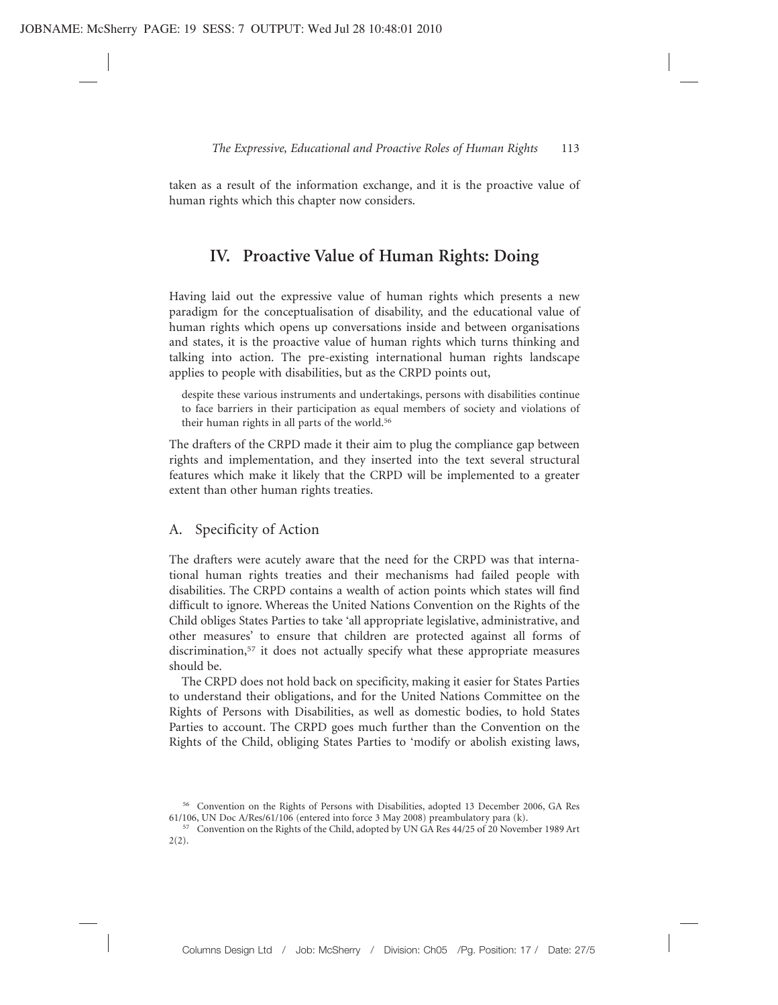taken as a result of the information exchange, and it is the proactive value of human rights which this chapter now considers.

# **IV. Proactive Value of Human Rights: Doing**

Having laid out the expressive value of human rights which presents a new paradigm for the conceptualisation of disability, and the educational value of human rights which opens up conversations inside and between organisations and states, it is the proactive value of human rights which turns thinking and talking into action. The pre-existing international human rights landscape applies to people with disabilities, but as the CRPD points out,

despite these various instruments and undertakings, persons with disabilities continue to face barriers in their participation as equal members of society and violations of their human rights in all parts of the world.56

The drafters of the CRPD made it their aim to plug the compliance gap between rights and implementation, and they inserted into the text several structural features which make it likely that the CRPD will be implemented to a greater extent than other human rights treaties.

### A. Specificity of Action

The drafters were acutely aware that the need for the CRPD was that international human rights treaties and their mechanisms had failed people with disabilities. The CRPD contains a wealth of action points which states will find difficult to ignore. Whereas the United Nations Convention on the Rights of the Child obliges States Parties to take 'all appropriate legislative, administrative, and other measures' to ensure that children are protected against all forms of discrimination,<sup>57</sup> it does not actually specify what these appropriate measures should be.

The CRPD does not hold back on specificity, making it easier for States Parties to understand their obligations, and for the United Nations Committee on the Rights of Persons with Disabilities, as well as domestic bodies, to hold States Parties to account. The CRPD goes much further than the Convention on the Rights of the Child, obliging States Parties to 'modify or abolish existing laws,

<sup>56</sup> Convention on the Rights of Persons with Disabilities, adopted 13 December 2006, GA Res 61/106, UN Doc A/Res/61/106 (entered into force 3 May 2008) preambulatory para (k).

<sup>57</sup> Convention on the Rights of the Child, adopted by UN GA Res 44/25 of 20 November 1989 Art  $2(2).$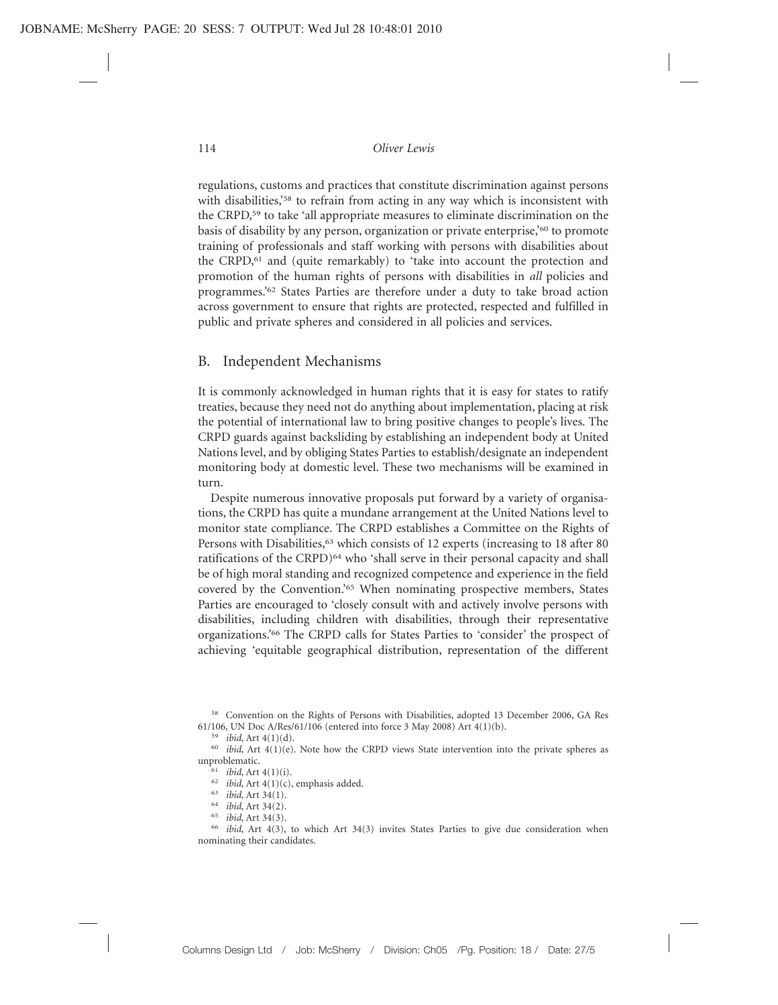regulations, customs and practices that constitute discrimination against persons with disabilities,'<sup>58</sup> to refrain from acting in any way which is inconsistent with the CRPD,59 to take 'all appropriate measures to eliminate discrimination on the basis of disability by any person, organization or private enterprise,'60 to promote training of professionals and staff working with persons with disabilities about the CRPD,61 and (quite remarkably) to 'take into account the protection and promotion of the human rights of persons with disabilities in *all* policies and programmes.'62 States Parties are therefore under a duty to take broad action across government to ensure that rights are protected, respected and fulfilled in public and private spheres and considered in all policies and services.

#### B. Independent Mechanisms

It is commonly acknowledged in human rights that it is easy for states to ratify treaties, because they need not do anything about implementation, placing at risk the potential of international law to bring positive changes to people's lives. The CRPD guards against backsliding by establishing an independent body at United Nations level, and by obliging States Parties to establish/designate an independent monitoring body at domestic level. These two mechanisms will be examined in turn.

Despite numerous innovative proposals put forward by a variety of organisations, the CRPD has quite a mundane arrangement at the United Nations level to monitor state compliance. The CRPD establishes a Committee on the Rights of Persons with Disabilities,<sup>63</sup> which consists of 12 experts (increasing to 18 after 80 ratifications of the CRPD)<sup>64</sup> who 'shall serve in their personal capacity and shall be of high moral standing and recognized competence and experience in the field covered by the Convention.'65 When nominating prospective members, States Parties are encouraged to 'closely consult with and actively involve persons with disabilities, including children with disabilities, through their representative organizations.'66 The CRPD calls for States Parties to 'consider' the prospect of achieving 'equitable geographical distribution, representation of the different

<sup>58</sup> Convention on the Rights of Persons with Disabilities, adopted 13 December 2006, GA Res 61/106, UN Doc A/Res/61/106 (entered into force 3 May 2008) Art 4(1)(b).

*ibid.* Art  $4(1)(d)$ .

<sup>60</sup> *ibid*, Art 4(1)(e). Note how the CRPD views State intervention into the private spheres as unproblematic.

<sup>&</sup>lt;sup>61</sup> *ibid*, Art 4(1)(*i*).

*ibid*, Art  $4(1)(c)$ , emphasis added.

<sup>63</sup> *ibid*, Art 34(1).

<sup>64</sup> *ibid*, Art 34(2).

*ibid*, Art 34(3).

<sup>66</sup> *ibid*, Art 4(3), to which Art 34(3) invites States Parties to give due consideration when nominating their candidates.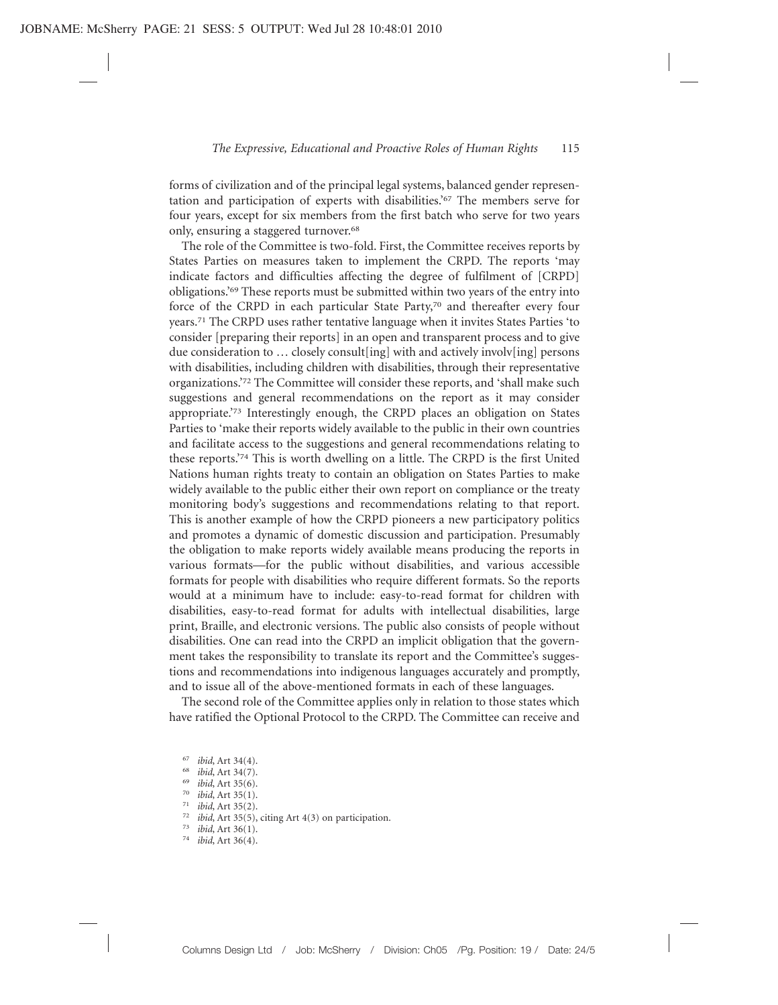forms of civilization and of the principal legal systems, balanced gender representation and participation of experts with disabilities.'67 The members serve for four years, except for six members from the first batch who serve for two years only, ensuring a staggered turnover.<sup>68</sup>

The role of the Committee is two-fold. First, the Committee receives reports by States Parties on measures taken to implement the CRPD. The reports 'may indicate factors and difficulties affecting the degree of fulfilment of [CRPD] obligations.'69 These reports must be submitted within two years of the entry into force of the CRPD in each particular State Party,<sup>70</sup> and thereafter every four years.71 The CRPD uses rather tentative language when it invites States Parties'to consider [preparing their reports] in an open and transparent process and to give due consideration to … closely consult[ing] with and actively involv[ing] persons with disabilities, including children with disabilities, through their representative organizations.'72 The Committee will consider these reports, and 'shall make such suggestions and general recommendations on the report as it may consider appropriate.'73 Interestingly enough, the CRPD places an obligation on States Parties to 'make their reports widely available to the public in their own countries and facilitate access to the suggestions and general recommendations relating to these reports.'74 This is worth dwelling on a little. The CRPD is the first United Nations human rights treaty to contain an obligation on States Parties to make widely available to the public either their own report on compliance or the treaty monitoring body's suggestions and recommendations relating to that report. This is another example of how the CRPD pioneers a new participatory politics and promotes a dynamic of domestic discussion and participation. Presumably the obligation to make reports widely available means producing the reports in various formats—for the public without disabilities, and various accessible formats for people with disabilities who require different formats. So the reports would at a minimum have to include: easy-to-read format for children with disabilities, easy-to-read format for adults with intellectual disabilities, large print, Braille, and electronic versions. The public also consists of people without disabilities. One can read into the CRPD an implicit obligation that the government takes the responsibility to translate its report and the Committee's suggestions and recommendations into indigenous languages accurately and promptly, and to issue all of the above-mentioned formats in each of these languages.

The second role of the Committee applies only in relation to those states which have ratified the Optional Protocol to the CRPD. The Committee can receive and

<sup>71</sup> *ibid*, Art 35(2).

- <sup>72</sup> *ibid*, Art 35(5), citing Art 4(3) on participation.
- <sup>73</sup> *ibid*, Art 36(1).
- <sup>74</sup> *ibid*, Art 36(4).

<sup>67</sup> *ibid*, Art 34(4).

*ibid*, Art 34(7).

<sup>69</sup> *ibid*, Art 35(6). <sup>70</sup> *ibid*, Art 35(1).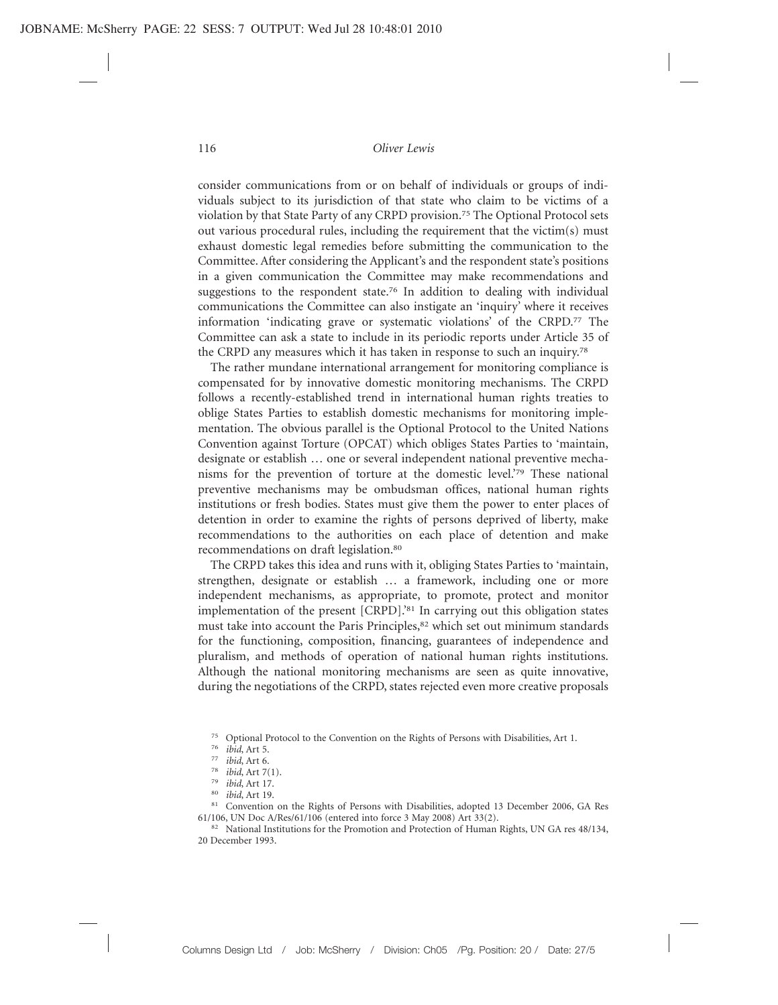consider communications from or on behalf of individuals or groups of individuals subject to its jurisdiction of that state who claim to be victims of a violation by that State Party of any CRPD provision.75 The Optional Protocol sets out various procedural rules, including the requirement that the victim(s) must exhaust domestic legal remedies before submitting the communication to the Committee. After considering the Applicant's and the respondent state's positions in a given communication the Committee may make recommendations and suggestions to the respondent state.<sup>76</sup> In addition to dealing with individual communications the Committee can also instigate an 'inquiry' where it receives information 'indicating grave or systematic violations' of the CRPD.77 The Committee can ask a state to include in its periodic reports under Article 35 of the CRPD any measures which it has taken in response to such an inquiry.78

The rather mundane international arrangement for monitoring compliance is compensated for by innovative domestic monitoring mechanisms. The CRPD follows a recently-established trend in international human rights treaties to oblige States Parties to establish domestic mechanisms for monitoring implementation. The obvious parallel is the Optional Protocol to the United Nations Convention against Torture (OPCAT) which obliges States Parties to 'maintain, designate or establish … one or several independent national preventive mechanisms for the prevention of torture at the domestic level.'79 These national preventive mechanisms may be ombudsman offices, national human rights institutions or fresh bodies. States must give them the power to enter places of detention in order to examine the rights of persons deprived of liberty, make recommendations to the authorities on each place of detention and make recommendations on draft legislation.80

The CRPD takes this idea and runs with it, obliging States Parties to 'maintain, strengthen, designate or establish … a framework, including one or more independent mechanisms, as appropriate, to promote, protect and monitor implementation of the present [CRPD].'81 In carrying out this obligation states must take into account the Paris Principles,<sup>82</sup> which set out minimum standards for the functioning, composition, financing, guarantees of independence and pluralism, and methods of operation of national human rights institutions. Although the national monitoring mechanisms are seen as quite innovative, during the negotiations of the CRPD, states rejected even more creative proposals

<sup>75</sup> Optional Protocol to the Convention on the Rights of Persons with Disabilities, Art 1.

<sup>76</sup> *ibid*, Art 5.

<sup>77</sup> *ibid*, Art 6.

 $^{78}$  *ibid*, Art 7(1).

<sup>79</sup> *ibid*, Art 17.

<sup>80</sup> *ibid*, Art 19.

<sup>81</sup> Convention on the Rights of Persons with Disabilities, adopted 13 December 2006, GA Res 61/106, UN Doc A/Res/61/106 (entered into force 3 May 2008) Art 33(2).

<sup>82</sup> National Institutions for the Promotion and Protection of Human Rights, UN GA res 48/134, 20 December 1993.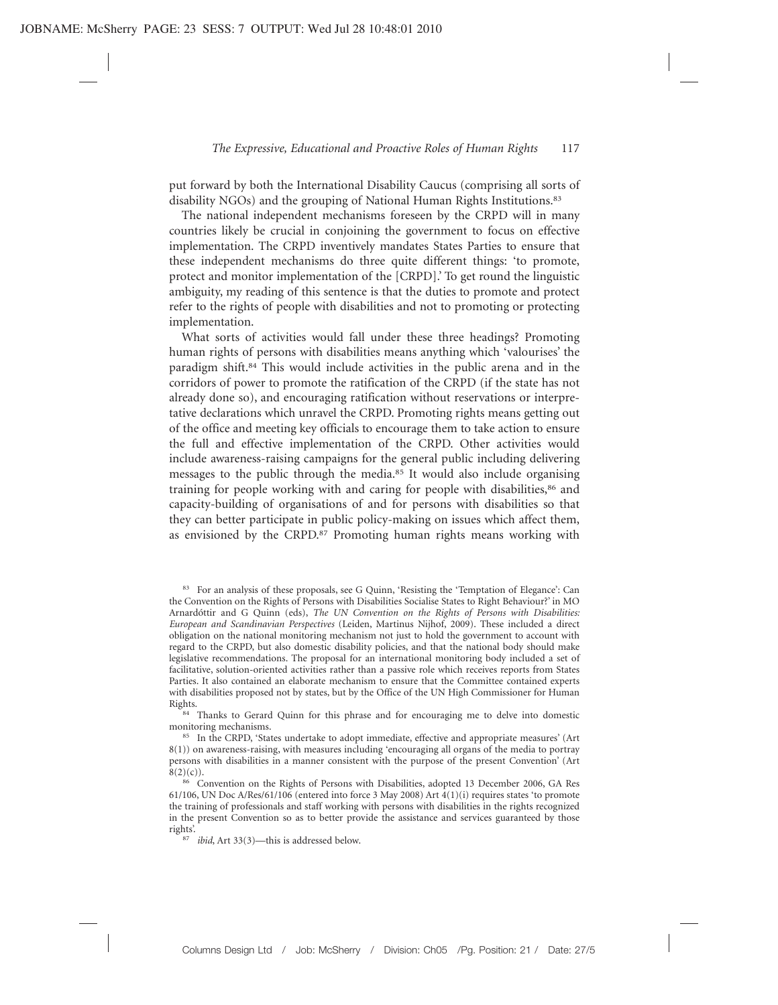put forward by both the International Disability Caucus (comprising all sorts of disability NGOs) and the grouping of National Human Rights Institutions.<sup>83</sup>

The national independent mechanisms foreseen by the CRPD will in many countries likely be crucial in conjoining the government to focus on effective implementation. The CRPD inventively mandates States Parties to ensure that these independent mechanisms do three quite different things: 'to promote, protect and monitor implementation of the [CRPD].' To get round the linguistic ambiguity, my reading of this sentence is that the duties to promote and protect refer to the rights of people with disabilities and not to promoting or protecting implementation.

What sorts of activities would fall under these three headings? Promoting human rights of persons with disabilities means anything which 'valourises' the paradigm shift.84 This would include activities in the public arena and in the corridors of power to promote the ratification of the CRPD (if the state has not already done so), and encouraging ratification without reservations or interpretative declarations which unravel the CRPD. Promoting rights means getting out of the office and meeting key officials to encourage them to take action to ensure the full and effective implementation of the CRPD. Other activities would include awareness-raising campaigns for the general public including delivering messages to the public through the media.85 It would also include organising training for people working with and caring for people with disabilities,<sup>86</sup> and capacity-building of organisations of and for persons with disabilities so that they can better participate in public policy-making on issues which affect them, as envisioned by the CRPD.<sup>87</sup> Promoting human rights means working with

84 Thanks to Gerard Quinn for this phrase and for encouraging me to delve into domestic monitoring mechanisms.

<sup>83</sup> For an analysis of these proposals, see G Quinn, 'Resisting the 'Temptation of Elegance': Can the Convention on the Rights of Persons with Disabilities Socialise States to Right Behaviour?' in MO Arnardóttir and G Quinn (eds), *The UN Convention on the Rights of Persons with Disabilities: European and Scandinavian Perspectives* (Leiden, Martinus Nijhof, 2009). These included a direct obligation on the national monitoring mechanism not just to hold the government to account with regard to the CRPD, but also domestic disability policies, and that the national body should make legislative recommendations. The proposal for an international monitoring body included a set of facilitative, solution-oriented activities rather than a passive role which receives reports from States Parties. It also contained an elaborate mechanism to ensure that the Committee contained experts with disabilities proposed not by states, but by the Office of the UN High Commissioner for Human Rights.

<sup>85</sup> In the CRPD, 'States undertake to adopt immediate, effective and appropriate measures' (Art 8(1)) on awareness-raising, with measures including 'encouraging all organs of the media to portray persons with disabilities in a manner consistent with the purpose of the present Convention' (Art 8(2)(c)).

<sup>86</sup> Convention on the Rights of Persons with Disabilities, adopted 13 December 2006, GA Res 61/106, UN Doc A/Res/61/106 (entered into force 3 May 2008) Art 4(1)(i) requires states 'to promote the training of professionals and staff working with persons with disabilities in the rights recognized in the present Convention so as to better provide the assistance and services guaranteed by those rights'.

*ibid*, Art 33(3)—this is addressed below.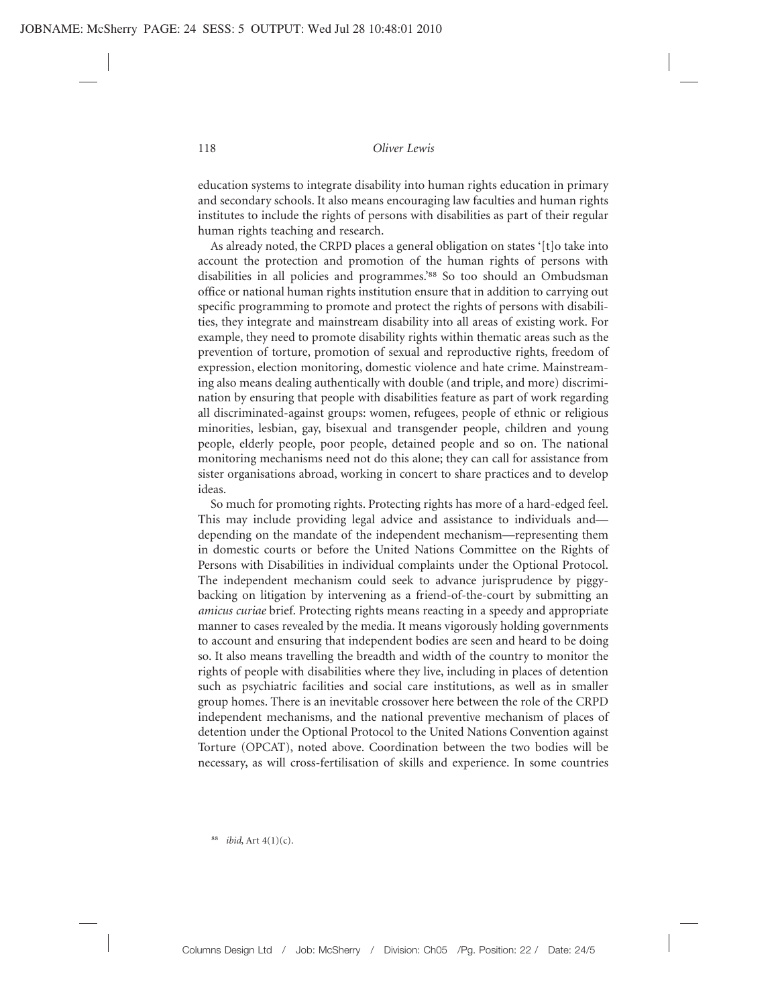education systems to integrate disability into human rights education in primary and secondary schools. It also means encouraging law faculties and human rights institutes to include the rights of persons with disabilities as part of their regular human rights teaching and research.

As already noted, the CRPD places a general obligation on states '[t]o take into account the protection and promotion of the human rights of persons with disabilities in all policies and programmes.'88 So too should an Ombudsman office or national human rights institution ensure that in addition to carrying out specific programming to promote and protect the rights of persons with disabilities, they integrate and mainstream disability into all areas of existing work. For example, they need to promote disability rights within thematic areas such as the prevention of torture, promotion of sexual and reproductive rights, freedom of expression, election monitoring, domestic violence and hate crime. Mainstreaming also means dealing authentically with double (and triple, and more) discrimination by ensuring that people with disabilities feature as part of work regarding all discriminated-against groups: women, refugees, people of ethnic or religious minorities, lesbian, gay, bisexual and transgender people, children and young people, elderly people, poor people, detained people and so on. The national monitoring mechanisms need not do this alone; they can call for assistance from sister organisations abroad, working in concert to share practices and to develop ideas.

So much for promoting rights. Protecting rights has more of a hard-edged feel. This may include providing legal advice and assistance to individuals and depending on the mandate of the independent mechanism—representing them in domestic courts or before the United Nations Committee on the Rights of Persons with Disabilities in individual complaints under the Optional Protocol. The independent mechanism could seek to advance jurisprudence by piggybacking on litigation by intervening as a friend-of-the-court by submitting an *amicus curiae* brief. Protecting rights means reacting in a speedy and appropriate manner to cases revealed by the media. It means vigorously holding governments to account and ensuring that independent bodies are seen and heard to be doing so. It also means travelling the breadth and width of the country to monitor the rights of people with disabilities where they live, including in places of detention such as psychiatric facilities and social care institutions, as well as in smaller group homes. There is an inevitable crossover here between the role of the CRPD independent mechanisms, and the national preventive mechanism of places of detention under the Optional Protocol to the United Nations Convention against Torture (OPCAT), noted above. Coordination between the two bodies will be necessary, as will cross-fertilisation of skills and experience. In some countries

<sup>88</sup> *ibid*, Art 4(1)(c).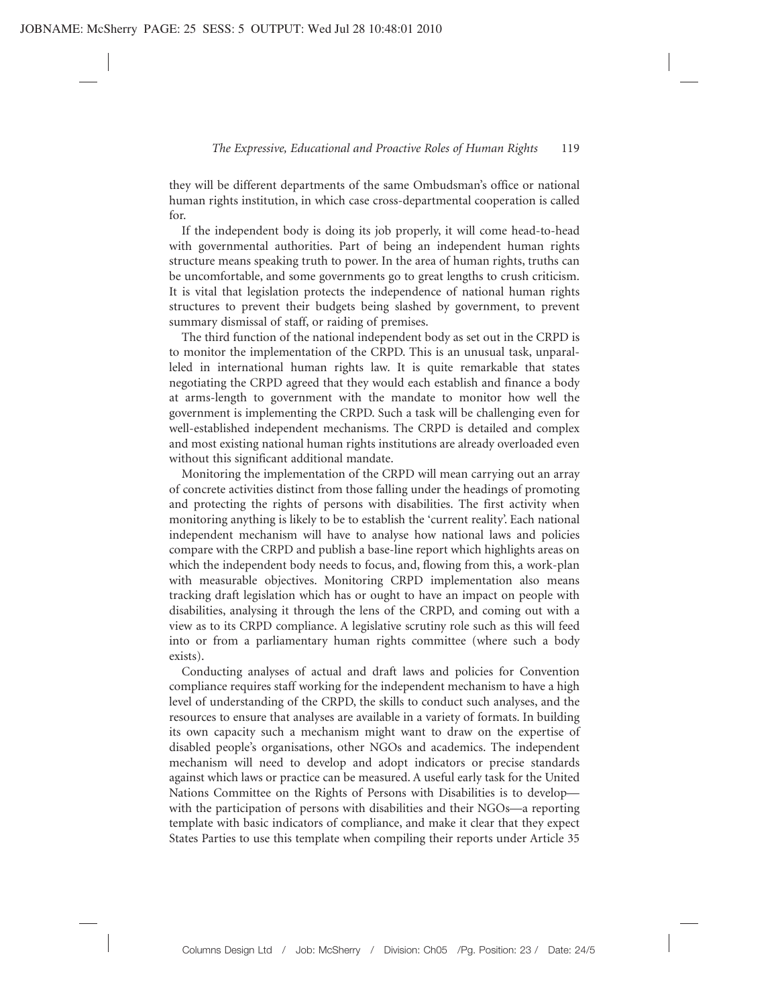they will be different departments of the same Ombudsman's office or national human rights institution, in which case cross-departmental cooperation is called for.

If the independent body is doing its job properly, it will come head-to-head with governmental authorities. Part of being an independent human rights structure means speaking truth to power. In the area of human rights, truths can be uncomfortable, and some governments go to great lengths to crush criticism. It is vital that legislation protects the independence of national human rights structures to prevent their budgets being slashed by government, to prevent summary dismissal of staff, or raiding of premises.

The third function of the national independent body as set out in the CRPD is to monitor the implementation of the CRPD. This is an unusual task, unparalleled in international human rights law. It is quite remarkable that states negotiating the CRPD agreed that they would each establish and finance a body at arms-length to government with the mandate to monitor how well the government is implementing the CRPD. Such a task will be challenging even for well-established independent mechanisms. The CRPD is detailed and complex and most existing national human rights institutions are already overloaded even without this significant additional mandate.

Monitoring the implementation of the CRPD will mean carrying out an array of concrete activities distinct from those falling under the headings of promoting and protecting the rights of persons with disabilities. The first activity when monitoring anything is likely to be to establish the 'current reality'. Each national independent mechanism will have to analyse how national laws and policies compare with the CRPD and publish a base-line report which highlights areas on which the independent body needs to focus, and, flowing from this, a work-plan with measurable objectives. Monitoring CRPD implementation also means tracking draft legislation which has or ought to have an impact on people with disabilities, analysing it through the lens of the CRPD, and coming out with a view as to its CRPD compliance. A legislative scrutiny role such as this will feed into or from a parliamentary human rights committee (where such a body exists).

Conducting analyses of actual and draft laws and policies for Convention compliance requires staff working for the independent mechanism to have a high level of understanding of the CRPD, the skills to conduct such analyses, and the resources to ensure that analyses are available in a variety of formats. In building its own capacity such a mechanism might want to draw on the expertise of disabled people's organisations, other NGOs and academics. The independent mechanism will need to develop and adopt indicators or precise standards against which laws or practice can be measured. A useful early task for the United Nations Committee on the Rights of Persons with Disabilities is to develop with the participation of persons with disabilities and their NGOs—a reporting template with basic indicators of compliance, and make it clear that they expect States Parties to use this template when compiling their reports under Article 35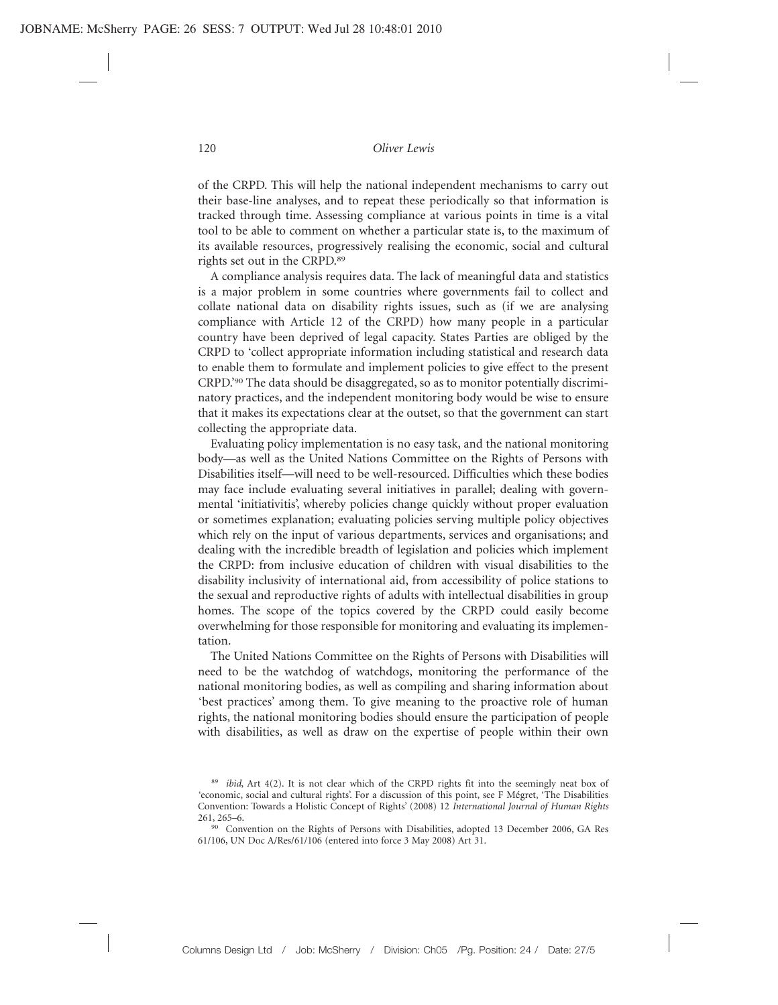of the CRPD. This will help the national independent mechanisms to carry out their base-line analyses, and to repeat these periodically so that information is tracked through time. Assessing compliance at various points in time is a vital tool to be able to comment on whether a particular state is, to the maximum of its available resources, progressively realising the economic, social and cultural rights set out in the CRPD.89

A compliance analysis requires data. The lack of meaningful data and statistics is a major problem in some countries where governments fail to collect and collate national data on disability rights issues, such as (if we are analysing compliance with Article 12 of the CRPD) how many people in a particular country have been deprived of legal capacity. States Parties are obliged by the CRPD to 'collect appropriate information including statistical and research data to enable them to formulate and implement policies to give effect to the present CRPD.'90 The data should be disaggregated, so as to monitor potentially discriminatory practices, and the independent monitoring body would be wise to ensure that it makes its expectations clear at the outset, so that the government can start collecting the appropriate data.

Evaluating policy implementation is no easy task, and the national monitoring body—as well as the United Nations Committee on the Rights of Persons with Disabilities itself—will need to be well-resourced. Difficulties which these bodies may face include evaluating several initiatives in parallel; dealing with governmental 'initiativitis', whereby policies change quickly without proper evaluation or sometimes explanation; evaluating policies serving multiple policy objectives which rely on the input of various departments, services and organisations; and dealing with the incredible breadth of legislation and policies which implement the CRPD: from inclusive education of children with visual disabilities to the disability inclusivity of international aid, from accessibility of police stations to the sexual and reproductive rights of adults with intellectual disabilities in group homes. The scope of the topics covered by the CRPD could easily become overwhelming for those responsible for monitoring and evaluating its implementation.

The United Nations Committee on the Rights of Persons with Disabilities will need to be the watchdog of watchdogs, monitoring the performance of the national monitoring bodies, as well as compiling and sharing information about 'best practices' among them. To give meaning to the proactive role of human rights, the national monitoring bodies should ensure the participation of people with disabilities, as well as draw on the expertise of people within their own

<sup>89</sup> *ibid*, Art 4(2). It is not clear which of the CRPD rights fit into the seemingly neat box of 'economic, social and cultural rights'. For a discussion of this point, see F Mégret, 'The Disabilities Convention: Towards a Holistic Concept of Rights' (2008) 12 *International Journal of Human Rights* 261, 265–6.

<sup>90</sup> Convention on the Rights of Persons with Disabilities, adopted 13 December 2006, GA Res 61/106, UN Doc A/Res/61/106 (entered into force 3 May 2008) Art 31.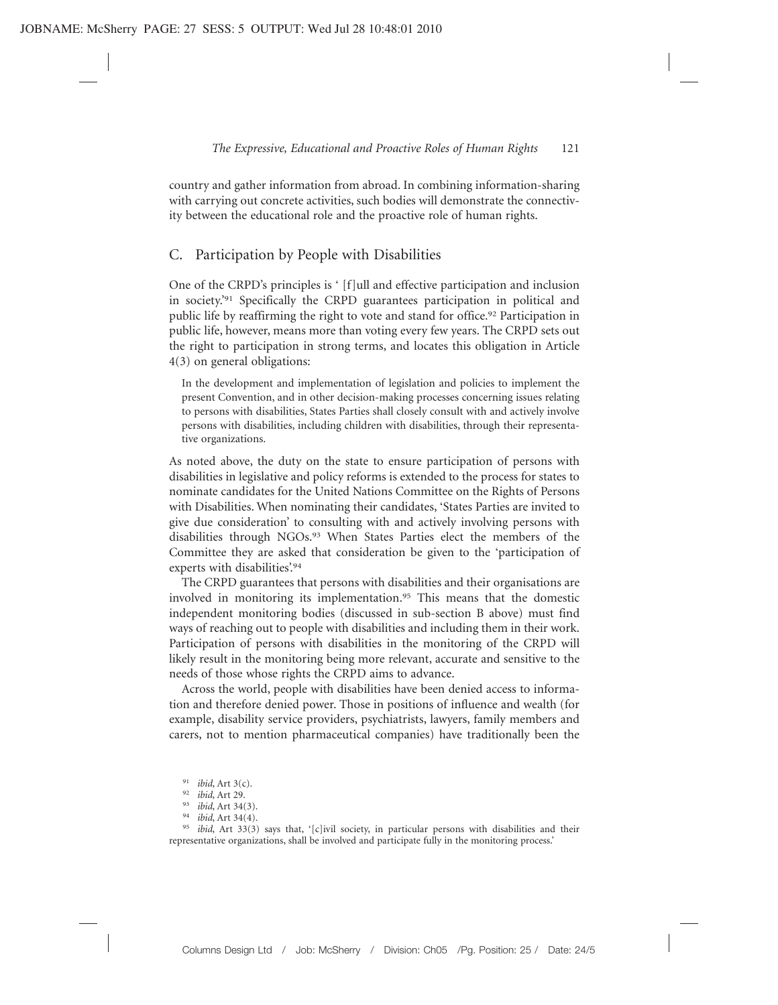country and gather information from abroad. In combining information-sharing with carrying out concrete activities, such bodies will demonstrate the connectivity between the educational role and the proactive role of human rights.

### C. Participation by People with Disabilities

One of the CRPD's principles is ' [f]ull and effective participation and inclusion in society.'91 Specifically the CRPD guarantees participation in political and public life by reaffirming the right to vote and stand for office.<sup>92</sup> Participation in public life, however, means more than voting every few years. The CRPD sets out the right to participation in strong terms, and locates this obligation in Article 4(3) on general obligations:

In the development and implementation of legislation and policies to implement the present Convention, and in other decision-making processes concerning issues relating to persons with disabilities, States Parties shall closely consult with and actively involve persons with disabilities, including children with disabilities, through their representative organizations.

As noted above, the duty on the state to ensure participation of persons with disabilities in legislative and policy reforms is extended to the process for states to nominate candidates for the United Nations Committee on the Rights of Persons with Disabilities. When nominating their candidates,'States Parties are invited to give due consideration' to consulting with and actively involving persons with disabilities through NGOs.93 When States Parties elect the members of the Committee they are asked that consideration be given to the 'participation of experts with disabilities'.<sup>94</sup>

The CRPD guarantees that persons with disabilities and their organisations are involved in monitoring its implementation.95 This means that the domestic independent monitoring bodies (discussed in sub-section B above) must find ways of reaching out to people with disabilities and including them in their work. Participation of persons with disabilities in the monitoring of the CRPD will likely result in the monitoring being more relevant, accurate and sensitive to the needs of those whose rights the CRPD aims to advance.

Across the world, people with disabilities have been denied access to information and therefore denied power. Those in positions of influence and wealth (for example, disability service providers, psychiatrists, lawyers, family members and carers, not to mention pharmaceutical companies) have traditionally been the

<sup>91</sup> *ibid*, Art 3(c).

<sup>92</sup> *ibid*, Art 29.

<sup>93</sup> *ibid*, Art 34(3).

<sup>94</sup> *ibid*, Art 34(4).

<sup>&</sup>lt;sup>95</sup> *ibid*, Art 33(3) says that, '[c]ivil society, in particular persons with disabilities and their representative organizations, shall be involved and participate fully in the monitoring process.'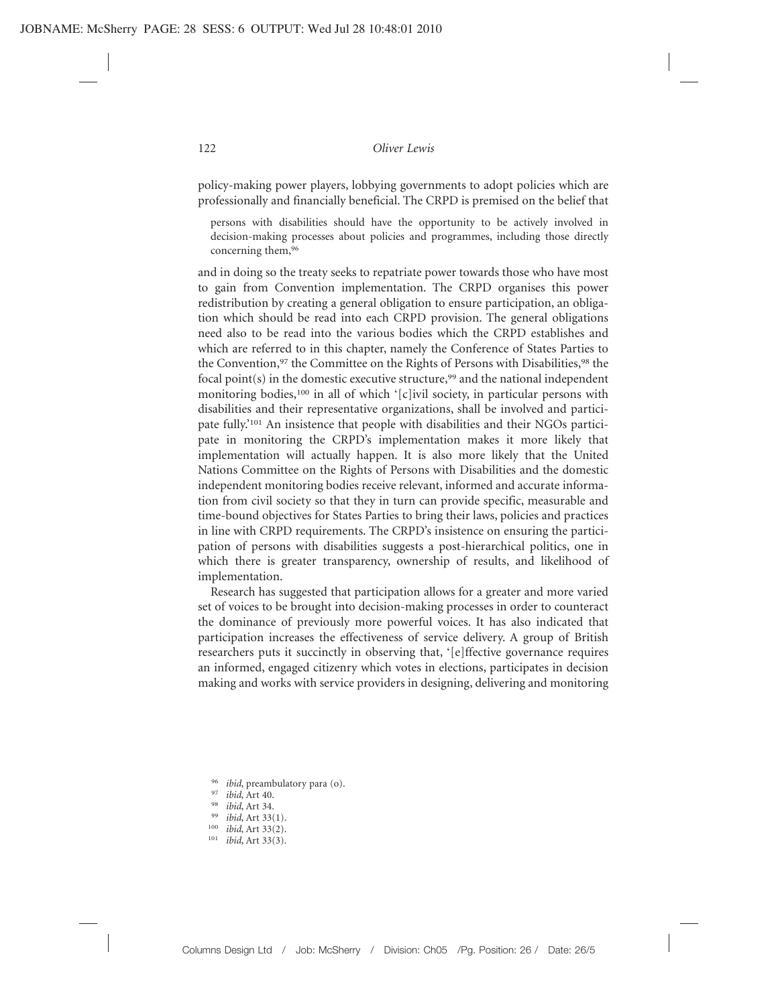policy-making power players, lobbying governments to adopt policies which are professionally and financially beneficial. The CRPD is premised on the belief that

persons with disabilities should have the opportunity to be actively involved in decision-making processes about policies and programmes, including those directly concerning them,<sup>96</sup>

and in doing so the treaty seeks to repatriate power towards those who have most to gain from Convention implementation. The CRPD organises this power redistribution by creating a general obligation to ensure participation, an obligation which should be read into each CRPD provision. The general obligations need also to be read into the various bodies which the CRPD establishes and which are referred to in this chapter, namely the Conference of States Parties to the Convention,<sup>97</sup> the Committee on the Rights of Persons with Disabilities,<sup>98</sup> the focal point $(s)$  in the domestic executive structure,<sup>99</sup> and the national independent monitoring bodies, $100$  in all of which '[c]ivil society, in particular persons with disabilities and their representative organizations, shall be involved and participate fully.'101 An insistence that people with disabilities and their NGOs participate in monitoring the CRPD's implementation makes it more likely that implementation will actually happen. It is also more likely that the United Nations Committee on the Rights of Persons with Disabilities and the domestic independent monitoring bodies receive relevant, informed and accurate information from civil society so that they in turn can provide specific, measurable and time-bound objectives for States Parties to bring their laws, policies and practices in line with CRPD requirements. The CRPD's insistence on ensuring the participation of persons with disabilities suggests a post-hierarchical politics, one in which there is greater transparency, ownership of results, and likelihood of implementation.

Research has suggested that participation allows for a greater and more varied set of voices to be brought into decision-making processes in order to counteract the dominance of previously more powerful voices. It has also indicated that participation increases the effectiveness of service delivery. A group of British researchers puts it succinctly in observing that, '[e]ffective governance requires an informed, engaged citizenry which votes in elections, participates in decision making and works with service providers in designing, delivering and monitoring

<sup>96</sup> *ibid*, preambulatory para (o).

<sup>97</sup> *ibid*, Art 40.

<sup>98</sup> *ibid*, Art 34.

<sup>&</sup>lt;sup>99</sup> *ibid*, Art 33(1).<br><sup>100</sup> *ibid* Art 33(2)

<sup>100</sup> *ibid*, Art 33(2).

*ibid*, Art 33(3).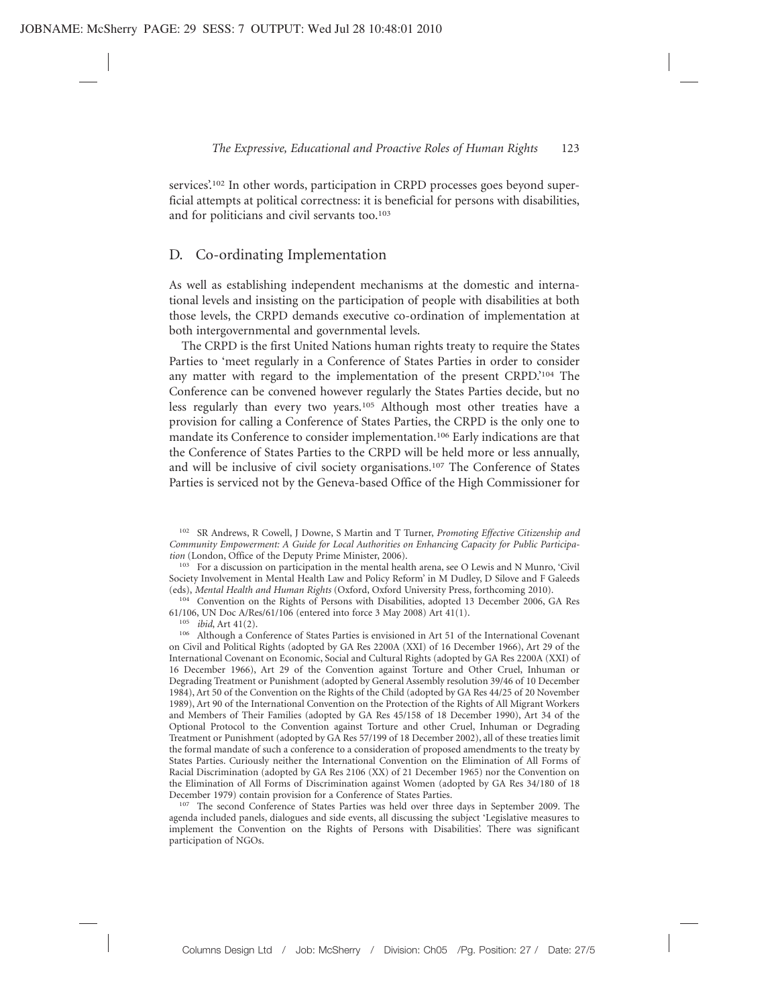services'.<sup>102</sup> In other words, participation in CRPD processes goes beyond superficial attempts at political correctness: it is beneficial for persons with disabilities, and for politicians and civil servants too.<sup>103</sup>

### D. Co-ordinating Implementation

As well as establishing independent mechanisms at the domestic and international levels and insisting on the participation of people with disabilities at both those levels, the CRPD demands executive co-ordination of implementation at both intergovernmental and governmental levels.

The CRPD is the first United Nations human rights treaty to require the States Parties to 'meet regularly in a Conference of States Parties in order to consider any matter with regard to the implementation of the present CRPD.'104 The Conference can be convened however regularly the States Parties decide, but no less regularly than every two years.105 Although most other treaties have a provision for calling a Conference of States Parties, the CRPD is the only one to mandate its Conference to consider implementation.106 Early indications are that the Conference of States Parties to the CRPD will be held more or less annually, and will be inclusive of civil society organisations.107 The Conference of States Parties is serviced not by the Geneva-based Office of the High Commissioner for

<sup>103</sup> For a discussion on participation in the mental health arena, see O Lewis and N Munro, 'Civil Society Involvement in Mental Health Law and Policy Reform' in M Dudley, D Silove and F Galeeds (eds), *Mental Health and Human Rights* (Oxford, Oxford University Press, forthcoming 2010).

<sup>104</sup> Convention on the Rights of Persons with Disabilities, adopted 13 December 2006, GA Res 61/106, UN Doc A/Res/61/106 (entered into force 3 May 2008) Art 41(1).

<sup>106</sup> Although a Conference of States Parties is envisioned in Art 51 of the International Covenant on Civil and Political Rights (adopted by GA Res 2200A (XXI) of 16 December 1966), Art 29 of the International Covenant on Economic, Social and Cultural Rights (adopted by GA Res 2200A (XXI) of 16 December 1966), Art 29 of the Convention against Torture and Other Cruel, Inhuman or Degrading Treatment or Punishment (adopted by General Assembly resolution 39/46 of 10 December 1984), Art 50 of the Convention on the Rights of the Child (adopted by GA Res 44/25 of 20 November 1989), Art 90 of the International Convention on the Protection of the Rights of All Migrant Workers and Members of Their Families (adopted by GA Res 45/158 of 18 December 1990), Art 34 of the Optional Protocol to the Convention against Torture and other Cruel, Inhuman or Degrading Treatment or Punishment (adopted by GA Res 57/199 of 18 December 2002), all of these treaties limit the formal mandate of such a conference to a consideration of proposed amendments to the treaty by States Parties. Curiously neither the International Convention on the Elimination of All Forms of Racial Discrimination (adopted by GA Res 2106 (XX) of 21 December 1965) nor the Convention on the Elimination of All Forms of Discrimination against Women (adopted by GA Res 34/180 of 18 December 1979) contain provision for a Conference of States Parties.

<sup>107</sup> The second Conference of States Parties was held over three days in September 2009. The agenda included panels, dialogues and side events, all discussing the subject 'Legislative measures to implement the Convention on the Rights of Persons with Disabilities'. There was significant participation of NGOs.

<sup>102</sup> SR Andrews, R Cowell, J Downe, S Martin and T Turner, *Promoting Effective Citizenship and Community Empowerment: A Guide for Local Authorities on Enhancing Capacity for Public Participation* (London, Office of the Deputy Prime Minister, 2006).

<sup>105</sup> *ibid*, Art 41(2).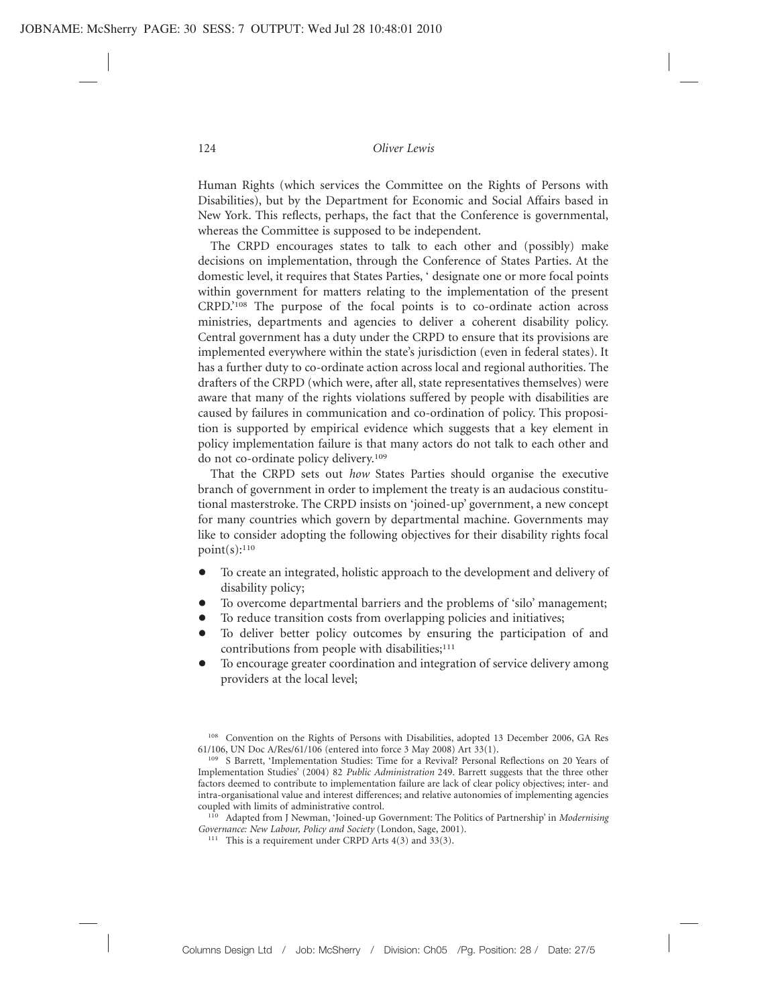Human Rights (which services the Committee on the Rights of Persons with Disabilities), but by the Department for Economic and Social Affairs based in New York. This reflects, perhaps, the fact that the Conference is governmental, whereas the Committee is supposed to be independent.

The CRPD encourages states to talk to each other and (possibly) make decisions on implementation, through the Conference of States Parties. At the domestic level, it requires that States Parties, ' designate one or more focal points within government for matters relating to the implementation of the present CRPD.'108 The purpose of the focal points is to co-ordinate action across ministries, departments and agencies to deliver a coherent disability policy. Central government has a duty under the CRPD to ensure that its provisions are implemented everywhere within the state's jurisdiction (even in federal states). It has a further duty to co-ordinate action across local and regional authorities. The drafters of the CRPD (which were, after all, state representatives themselves) were aware that many of the rights violations suffered by people with disabilities are caused by failures in communication and co-ordination of policy. This proposition is supported by empirical evidence which suggests that a key element in policy implementation failure is that many actors do not talk to each other and do not co-ordinate policy delivery.109

That the CRPD sets out *how* States Parties should organise the executive branch of government in order to implement the treaty is an audacious constitutional masterstroke. The CRPD insists on 'joined-up' government, a new concept for many countries which govern by departmental machine. Governments may like to consider adopting the following objectives for their disability rights focal  $point(s):$ <sup>110</sup>

- To create an integrated, holistic approach to the development and delivery of disability policy;
- To overcome departmental barriers and the problems of 'silo' management;
- To reduce transition costs from overlapping policies and initiatives;
- To deliver better policy outcomes by ensuring the participation of and contributions from people with disabilities;<sup>111</sup>
- To encourage greater coordination and integration of service delivery among providers at the local level;

<sup>110</sup> Adapted from J Newman,'Joined-up Government: The Politics of Partnership' in *Modernising Governance: New Labour, Policy and Society* (London, Sage, 2001).

<sup>108</sup> Convention on the Rights of Persons with Disabilities, adopted 13 December 2006, GA Res 61/106, UN Doc A/Res/61/106 (entered into force 3 May 2008) Art 33(1).

<sup>109</sup> S Barrett, 'Implementation Studies: Time for a Revival? Personal Reflections on 20 Years of Implementation Studies' (2004) 82 *Public Administration* 249. Barrett suggests that the three other factors deemed to contribute to implementation failure are lack of clear policy objectives; inter- and intra-organisational value and interest differences; and relative autonomies of implementing agencies coupled with limits of administrative control.

<sup>&</sup>lt;sup>111</sup> This is a requirement under CRPD Arts  $4(3)$  and  $33(3)$ .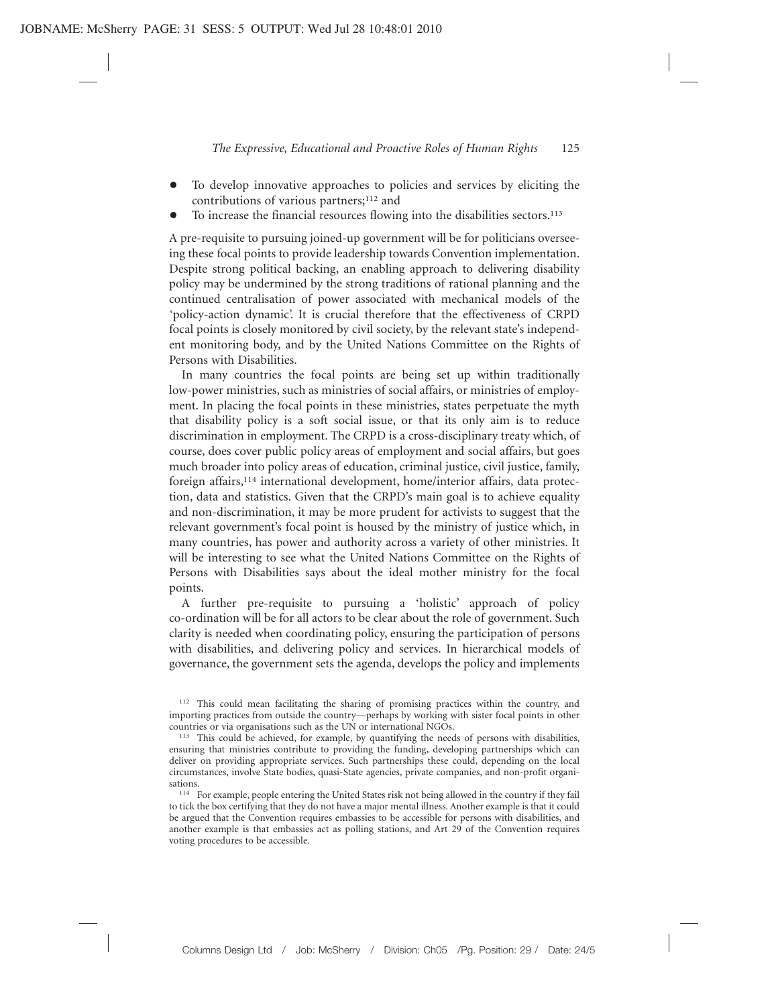- To develop innovative approaches to policies and services by eliciting the contributions of various partners;<sup>112</sup> and
- To increase the financial resources flowing into the disabilities sectors.<sup>113</sup>

A pre-requisite to pursuing joined-up government will be for politicians overseeing these focal points to provide leadership towards Convention implementation. Despite strong political backing, an enabling approach to delivering disability policy may be undermined by the strong traditions of rational planning and the continued centralisation of power associated with mechanical models of the 'policy-action dynamic'. It is crucial therefore that the effectiveness of CRPD focal points is closely monitored by civil society, by the relevant state's independent monitoring body, and by the United Nations Committee on the Rights of Persons with Disabilities.

In many countries the focal points are being set up within traditionally low-power ministries, such as ministries of social affairs, or ministries of employment. In placing the focal points in these ministries, states perpetuate the myth that disability policy is a soft social issue, or that its only aim is to reduce discrimination in employment. The CRPD is a cross-disciplinary treaty which, of course, does cover public policy areas of employment and social affairs, but goes much broader into policy areas of education, criminal justice, civil justice, family, foreign affairs,<sup>114</sup> international development, home/interior affairs, data protection, data and statistics. Given that the CRPD's main goal is to achieve equality and non-discrimination, it may be more prudent for activists to suggest that the relevant government's focal point is housed by the ministry of justice which, in many countries, has power and authority across a variety of other ministries. It will be interesting to see what the United Nations Committee on the Rights of Persons with Disabilities says about the ideal mother ministry for the focal points.

A further pre-requisite to pursuing a 'holistic' approach of policy co-ordination will be for all actors to be clear about the role of government. Such clarity is needed when coordinating policy, ensuring the participation of persons with disabilities, and delivering policy and services. In hierarchical models of governance, the government sets the agenda, develops the policy and implements

<sup>&</sup>lt;sup>112</sup> This could mean facilitating the sharing of promising practices within the country, and importing practices from outside the country—perhaps by working with sister focal points in other countries or via organisations such as the UN or international NGOs.

<sup>&</sup>lt;sup>113</sup> This could be achieved, for example, by quantifying the needs of persons with disabilities, ensuring that ministries contribute to providing the funding, developing partnerships which can deliver on providing appropriate services. Such partnerships these could, depending on the local circumstances, involve State bodies, quasi-State agencies, private companies, and non-profit organisations.

<sup>114</sup> For example, people entering the United States risk not being allowed in the country if they fail to tick the box certifying that they do not have a major mental illness. Another example is that it could be argued that the Convention requires embassies to be accessible for persons with disabilities, and another example is that embassies act as polling stations, and Art 29 of the Convention requires voting procedures to be accessible.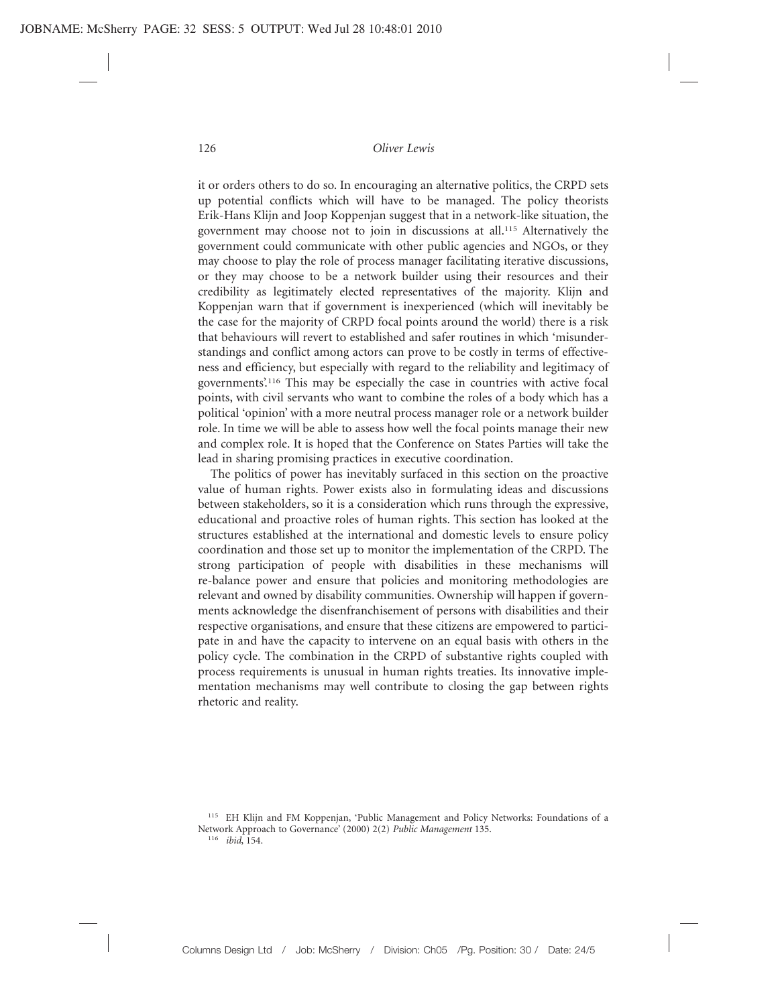it or orders others to do so. In encouraging an alternative politics, the CRPD sets up potential conflicts which will have to be managed. The policy theorists Erik-Hans Klijn and Joop Koppenjan suggest that in a network-like situation, the government may choose not to join in discussions at all.115 Alternatively the government could communicate with other public agencies and NGOs, or they may choose to play the role of process manager facilitating iterative discussions, or they may choose to be a network builder using their resources and their credibility as legitimately elected representatives of the majority. Klijn and Koppenjan warn that if government is inexperienced (which will inevitably be the case for the majority of CRPD focal points around the world) there is a risk that behaviours will revert to established and safer routines in which 'misunderstandings and conflict among actors can prove to be costly in terms of effectiveness and efficiency, but especially with regard to the reliability and legitimacy of governments'.116 This may be especially the case in countries with active focal points, with civil servants who want to combine the roles of a body which has a political 'opinion' with a more neutral process manager role or a network builder role. In time we will be able to assess how well the focal points manage their new and complex role. It is hoped that the Conference on States Parties will take the lead in sharing promising practices in executive coordination.

The politics of power has inevitably surfaced in this section on the proactive value of human rights. Power exists also in formulating ideas and discussions between stakeholders, so it is a consideration which runs through the expressive, educational and proactive roles of human rights. This section has looked at the structures established at the international and domestic levels to ensure policy coordination and those set up to monitor the implementation of the CRPD. The strong participation of people with disabilities in these mechanisms will re-balance power and ensure that policies and monitoring methodologies are relevant and owned by disability communities. Ownership will happen if governments acknowledge the disenfranchisement of persons with disabilities and their respective organisations, and ensure that these citizens are empowered to participate in and have the capacity to intervene on an equal basis with others in the policy cycle. The combination in the CRPD of substantive rights coupled with process requirements is unusual in human rights treaties. Its innovative implementation mechanisms may well contribute to closing the gap between rights rhetoric and reality.

<sup>115</sup> EH Klijn and FM Koppenjan, 'Public Management and Policy Networks: Foundations of a Network Approach to Governance' (2000) 2(2) *Public Management* 135. <sup>116</sup> *ibid*, 154.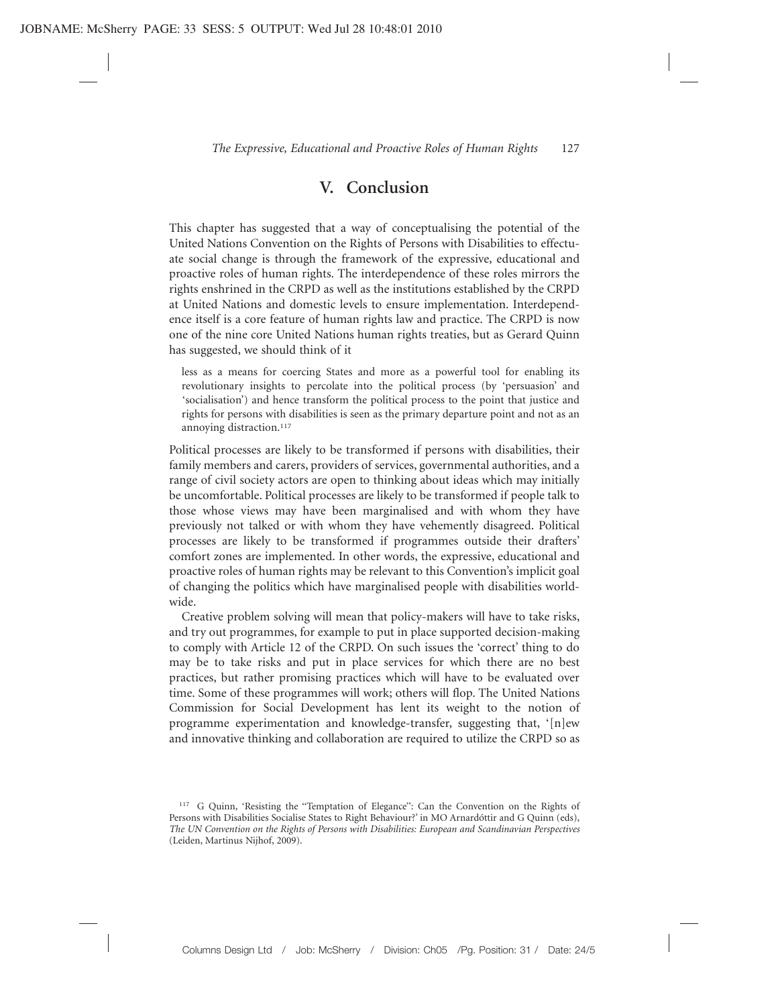# **V. Conclusion**

This chapter has suggested that a way of conceptualising the potential of the United Nations Convention on the Rights of Persons with Disabilities to effectuate social change is through the framework of the expressive, educational and proactive roles of human rights. The interdependence of these roles mirrors the rights enshrined in the CRPD as well as the institutions established by the CRPD at United Nations and domestic levels to ensure implementation. Interdependence itself is a core feature of human rights law and practice. The CRPD is now one of the nine core United Nations human rights treaties, but as Gerard Quinn has suggested, we should think of it

less as a means for coercing States and more as a powerful tool for enabling its revolutionary insights to percolate into the political process (by 'persuasion' and 'socialisation') and hence transform the political process to the point that justice and rights for persons with disabilities is seen as the primary departure point and not as an annoying distraction.<sup>117</sup>

Political processes are likely to be transformed if persons with disabilities, their family members and carers, providers of services, governmental authorities, and a range of civil society actors are open to thinking about ideas which may initially be uncomfortable. Political processes are likely to be transformed if people talk to those whose views may have been marginalised and with whom they have previously not talked or with whom they have vehemently disagreed. Political processes are likely to be transformed if programmes outside their drafters' comfort zones are implemented. In other words, the expressive, educational and proactive roles of human rights may be relevant to this Convention's implicit goal of changing the politics which have marginalised people with disabilities worldwide.

Creative problem solving will mean that policy-makers will have to take risks, and try out programmes, for example to put in place supported decision-making to comply with Article 12 of the CRPD. On such issues the 'correct' thing to do may be to take risks and put in place services for which there are no best practices, but rather promising practices which will have to be evaluated over time. Some of these programmes will work; others will flop. The United Nations Commission for Social Development has lent its weight to the notion of programme experimentation and knowledge-transfer, suggesting that, '[n]ew and innovative thinking and collaboration are required to utilize the CRPD so as

<sup>&</sup>lt;sup>117</sup> G Quinn, 'Resisting the "Temptation of Elegance": Can the Convention on the Rights of Persons with Disabilities Socialise States to Right Behaviour?' in MO Arnardóttir and G Quinn (eds), *The UN Convention on the Rights of Persons with Disabilities: European and Scandinavian Perspectives* (Leiden, Martinus Nijhof, 2009).